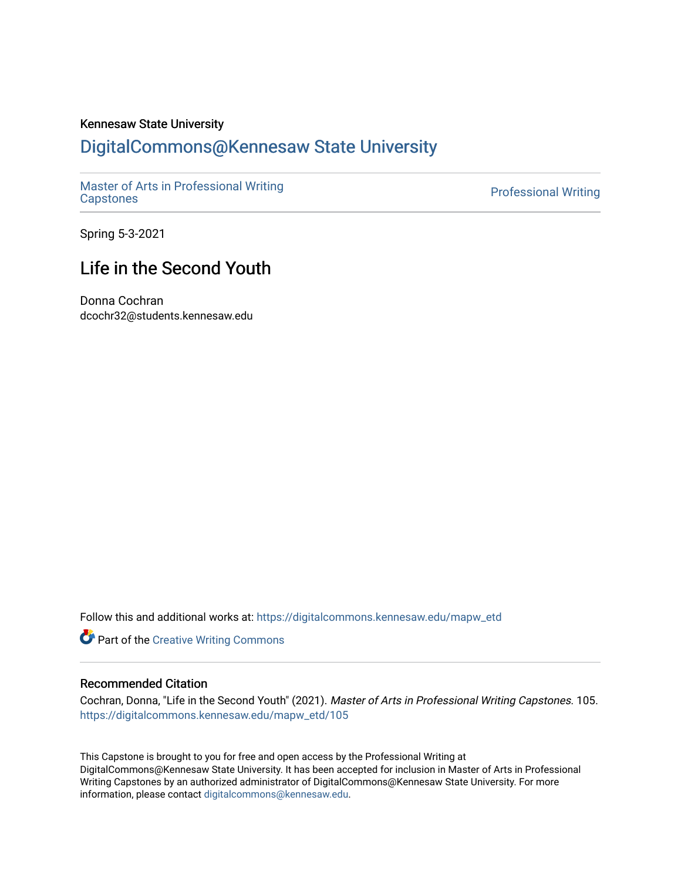## Kennesaw State University

# [DigitalCommons@Kennesaw State University](https://digitalcommons.kennesaw.edu/)

[Master of Arts in Professional Writing](https://digitalcommons.kennesaw.edu/mapw_etd)

**Professional Writing** 

Spring 5-3-2021

# Life in the Second Youth

Donna Cochran dcochr32@students.kennesaw.edu

Follow this and additional works at: [https://digitalcommons.kennesaw.edu/mapw\\_etd](https://digitalcommons.kennesaw.edu/mapw_etd?utm_source=digitalcommons.kennesaw.edu%2Fmapw_etd%2F105&utm_medium=PDF&utm_campaign=PDFCoverPages)

**Part of the Creative Writing Commons** 

#### Recommended Citation

Cochran, Donna, "Life in the Second Youth" (2021). Master of Arts in Professional Writing Capstones. 105. [https://digitalcommons.kennesaw.edu/mapw\\_etd/105](https://digitalcommons.kennesaw.edu/mapw_etd/105?utm_source=digitalcommons.kennesaw.edu%2Fmapw_etd%2F105&utm_medium=PDF&utm_campaign=PDFCoverPages)

This Capstone is brought to you for free and open access by the Professional Writing at DigitalCommons@Kennesaw State University. It has been accepted for inclusion in Master of Arts in Professional Writing Capstones by an authorized administrator of DigitalCommons@Kennesaw State University. For more information, please contact [digitalcommons@kennesaw.edu](mailto:digitalcommons@kennesaw.edu).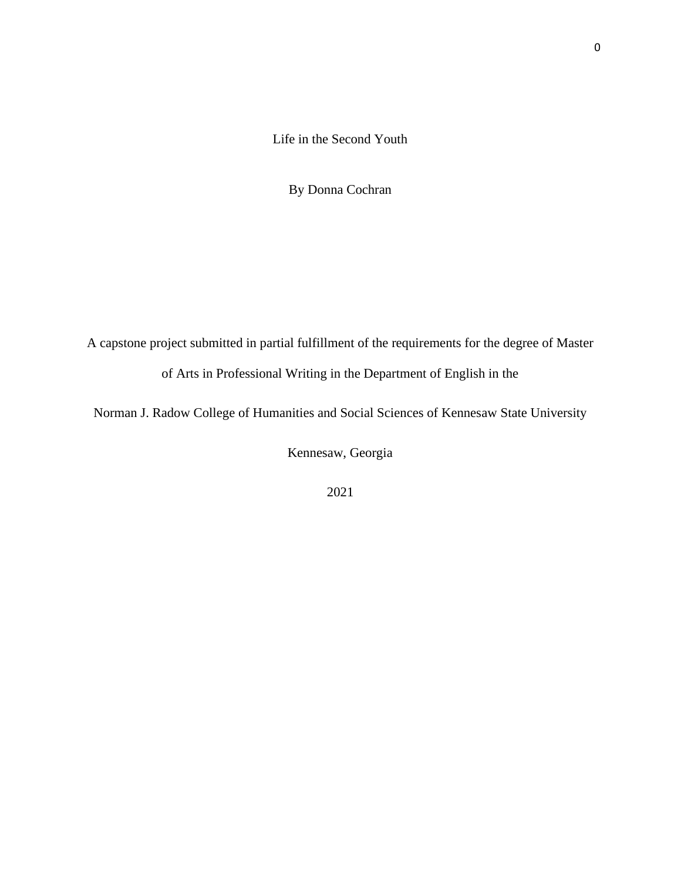[Life in the Second Youth](file:///C:/Users/dcoch/Desktop/Capstone%20Folder/Capstone%20Submission/Title%20Page.docx)

[By Donna Cochran](file:///C:/Users/dcoch/Desktop/Capstone%20Folder/Capstone%20Submission/Title%20Page.docx)

[A capstone project submitted in partial fulfillment of the requirements for the degree of Master](file:///C:/Users/dcoch/Desktop/Capstone%20Folder/Capstone%20Submission/Title%20Page.docx)  [of Arts in Professional Writing in the Department of English in the](file:///C:/Users/dcoch/Desktop/Capstone%20Folder/Capstone%20Submission/Title%20Page.docx)

[Norman J. Radow College of Humanities and Social Sciences of Kennesaw State University](file:///C:/Users/dcoch/Desktop/Capstone%20Folder/Capstone%20Submission/Title%20Page.docx)

[Kennesaw, Georgia](file:///C:/Users/dcoch/Desktop/Capstone%20Folder/Capstone%20Submission/Title%20Page.docx)

[2021](file:///C:/Users/dcoch/Desktop/Capstone%20Folder/Capstone%20Submission/Title%20Page.docx)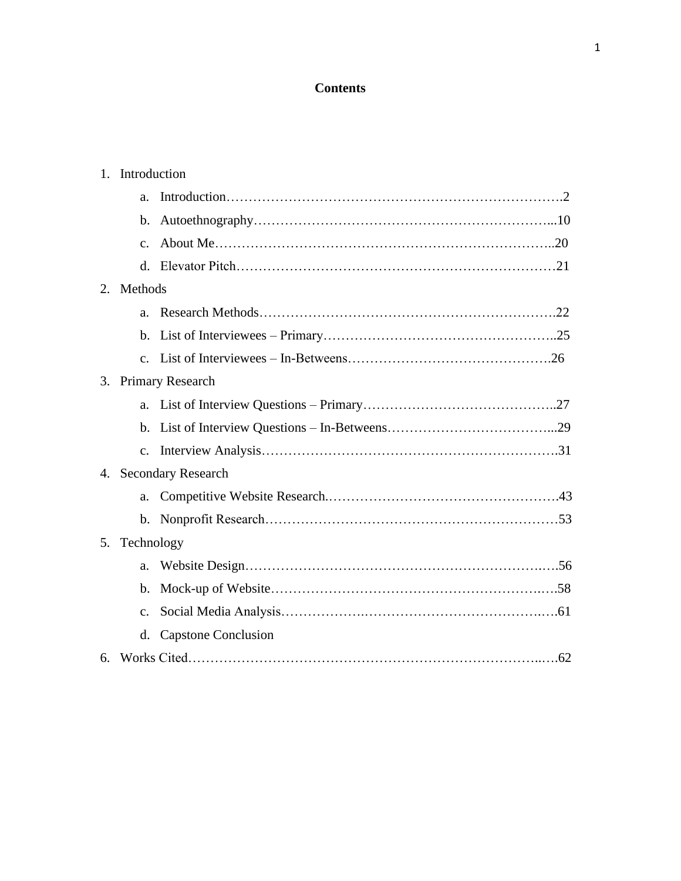# **Contents**

|                     | 1. Introduction |                            |  |
|---------------------|-----------------|----------------------------|--|
|                     | a.              |                            |  |
|                     | $\mathbf{b}$ .  |                            |  |
|                     | $\mathbf{c}$ .  |                            |  |
|                     |                 |                            |  |
|                     |                 | 2. Methods                 |  |
|                     | $a_{-}$         |                            |  |
|                     |                 |                            |  |
|                     |                 |                            |  |
| 3. Primary Research |                 |                            |  |
|                     |                 |                            |  |
|                     | $h_{\cdot}$     |                            |  |
|                     |                 |                            |  |
|                     |                 | 4. Secondary Research      |  |
|                     | a.              |                            |  |
|                     |                 |                            |  |
| 5 <sub>1</sub>      | Technology      |                            |  |
|                     | a.              |                            |  |
|                     | $\mathbf b$ .   |                            |  |
|                     | $\mathcal{C}$ . |                            |  |
|                     | d.              | <b>Capstone Conclusion</b> |  |
|                     |                 |                            |  |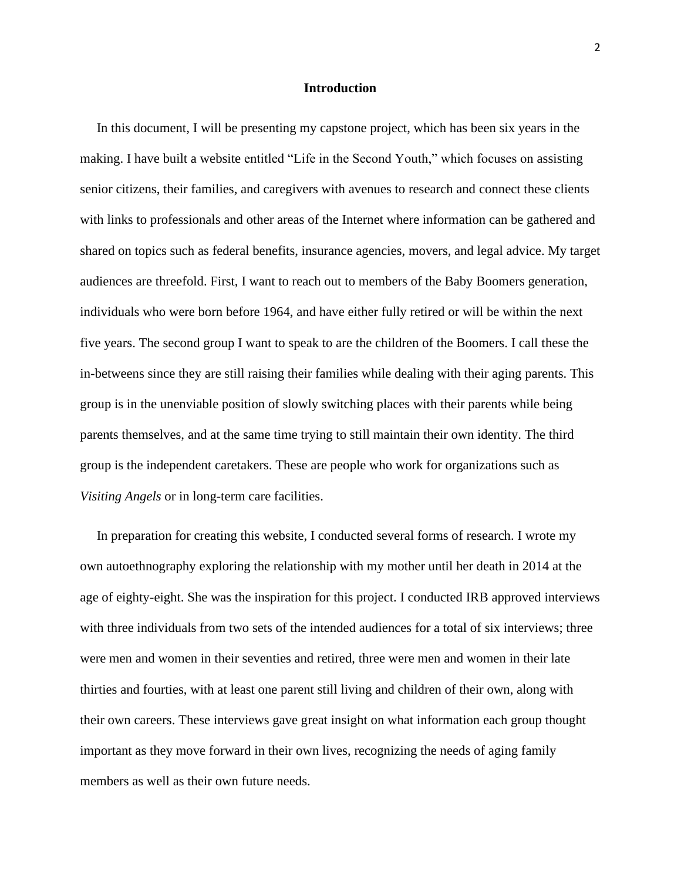#### **Introduction**

 In this document, I will be presenting my capstone project, which has been six years in the making. I have built a website entitled "Life in the Second Youth," which focuses on assisting senior citizens, their families, and caregivers with avenues to research and connect these clients with links to professionals and other areas of the Internet where information can be gathered and shared on topics such as federal benefits, insurance agencies, movers, and legal advice. My target audiences are threefold. First, I want to reach out to members of the Baby Boomers generation, individuals who were born before 1964, and have either fully retired or will be within the next five years. The second group I want to speak to are the children of the Boomers. I call these the in-betweens since they are still raising their families while dealing with their aging parents. This group is in the unenviable position of slowly switching places with their parents while being parents themselves, and at the same time trying to still maintain their own identity. The third group is the independent caretakers. These are people who work for organizations such as *Visiting Angels* or in long-term care facilities.

 In preparation for creating this website, I conducted several forms of research. I wrote my own autoethnography exploring the relationship with my mother until her death in 2014 at the age of eighty-eight. She was the inspiration for this project. I conducted IRB approved interviews with three individuals from two sets of the intended audiences for a total of six interviews; three were men and women in their seventies and retired, three were men and women in their late thirties and fourties, with at least one parent still living and children of their own, along with their own careers. These interviews gave great insight on what information each group thought important as they move forward in their own lives, recognizing the needs of aging family members as well as their own future needs.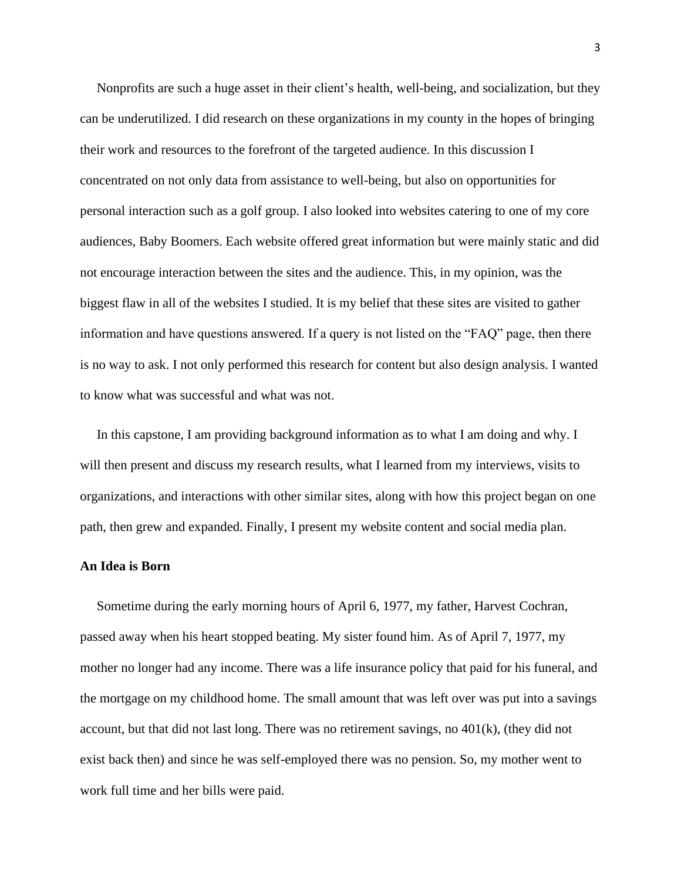Nonprofits are such a huge asset in their client's health, well-being, and socialization, but they can be underutilized. I did research on these organizations in my county in the hopes of bringing their work and resources to the forefront of the targeted audience. In this discussion I concentrated on not only data from assistance to well-being, but also on opportunities for personal interaction such as a golf group. I also looked into websites catering to one of my core audiences, Baby Boomers. Each website offered great information but were mainly static and did not encourage interaction between the sites and the audience. This, in my opinion, was the biggest flaw in all of the websites I studied. It is my belief that these sites are visited to gather information and have questions answered. If a query is not listed on the "FAQ" page, then there is no way to ask. I not only performed this research for content but also design analysis. I wanted to know what was successful and what was not.

 In this capstone, I am providing background information as to what I am doing and why. I will then present and discuss my research results, what I learned from my interviews, visits to organizations, and interactions with other similar sites, along with how this project began on one path, then grew and expanded. Finally, I present my website content and social media plan.

## **An Idea is Born**

 Sometime during the early morning hours of April 6, 1977, my father, Harvest Cochran, passed away when his heart stopped beating. My sister found him. As of April 7, 1977, my mother no longer had any income. There was a life insurance policy that paid for his funeral, and the mortgage on my childhood home. The small amount that was left over was put into a savings account, but that did not last long. There was no retirement savings, no 401(k), (they did not exist back then) and since he was self-employed there was no pension. So, my mother went to work full time and her bills were paid.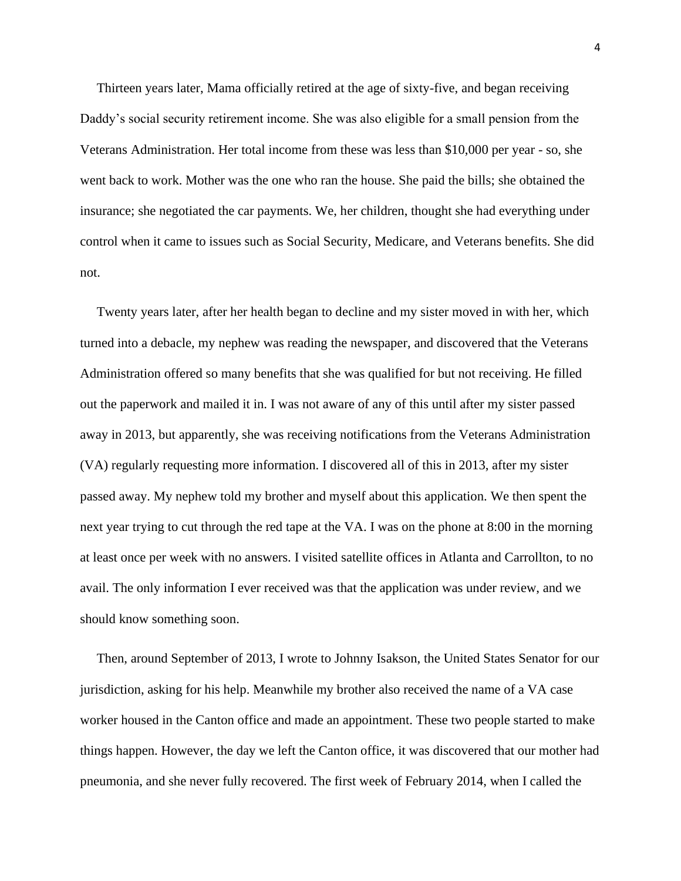Thirteen years later, Mama officially retired at the age of sixty-five, and began receiving Daddy's social security retirement income. She was also eligible for a small pension from the Veterans Administration. Her total income from these was less than \$10,000 per year - so, she went back to work. Mother was the one who ran the house. She paid the bills; she obtained the insurance; she negotiated the car payments. We, her children, thought she had everything under control when it came to issues such as Social Security, Medicare, and Veterans benefits. She did not.

 Twenty years later, after her health began to decline and my sister moved in with her, which turned into a debacle, my nephew was reading the newspaper, and discovered that the Veterans Administration offered so many benefits that she was qualified for but not receiving. He filled out the paperwork and mailed it in. I was not aware of any of this until after my sister passed away in 2013, but apparently, she was receiving notifications from the Veterans Administration (VA) regularly requesting more information. I discovered all of this in 2013, after my sister passed away. My nephew told my brother and myself about this application. We then spent the next year trying to cut through the red tape at the VA. I was on the phone at 8:00 in the morning at least once per week with no answers. I visited satellite offices in Atlanta and Carrollton, to no avail. The only information I ever received was that the application was under review, and we should know something soon.

 Then, around September of 2013, I wrote to Johnny Isakson, the United States Senator for our jurisdiction, asking for his help. Meanwhile my brother also received the name of a VA case worker housed in the Canton office and made an appointment. These two people started to make things happen. However, the day we left the Canton office, it was discovered that our mother had pneumonia, and she never fully recovered. The first week of February 2014, when I called the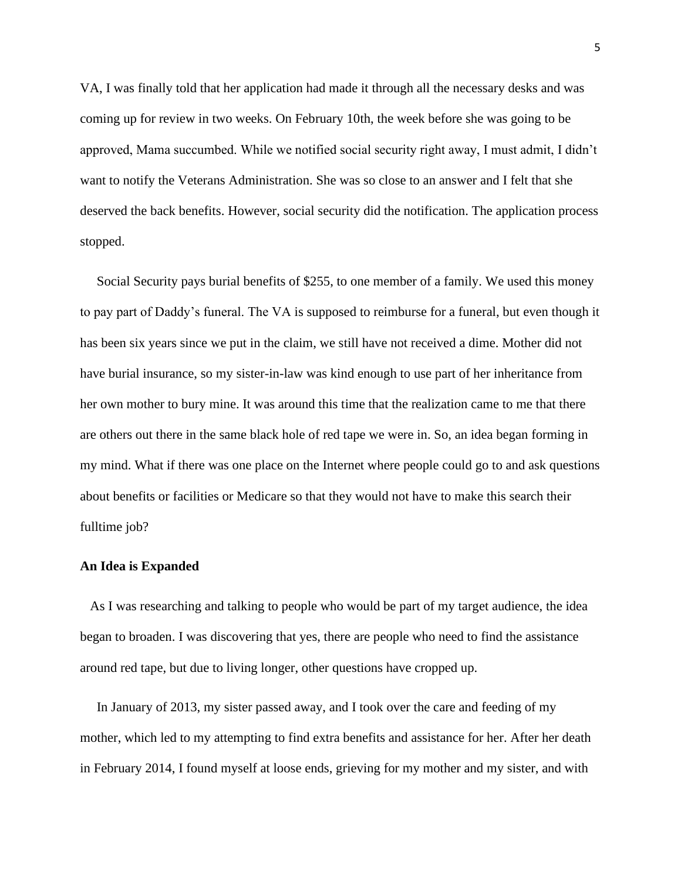VA, I was finally told that her application had made it through all the necessary desks and was coming up for review in two weeks. On February 10th, the week before she was going to be approved, Mama succumbed. While we notified social security right away, I must admit, I didn't want to notify the Veterans Administration. She was so close to an answer and I felt that she deserved the back benefits. However, social security did the notification. The application process stopped.

 Social Security pays burial benefits of \$255, to one member of a family. We used this money to pay part of Daddy's funeral. The VA is supposed to reimburse for a funeral, but even though it has been six years since we put in the claim, we still have not received a dime. Mother did not have burial insurance, so my sister-in-law was kind enough to use part of her inheritance from her own mother to bury mine. It was around this time that the realization came to me that there are others out there in the same black hole of red tape we were in. So, an idea began forming in my mind. What if there was one place on the Internet where people could go to and ask questions about benefits or facilities or Medicare so that they would not have to make this search their fulltime job?

#### **An Idea is Expanded**

 As I was researching and talking to people who would be part of my target audience, the idea began to broaden. I was discovering that yes, there are people who need to find the assistance around red tape, but due to living longer, other questions have cropped up.

 In January of 2013, my sister passed away, and I took over the care and feeding of my mother, which led to my attempting to find extra benefits and assistance for her. After her death in February 2014, I found myself at loose ends, grieving for my mother and my sister, and with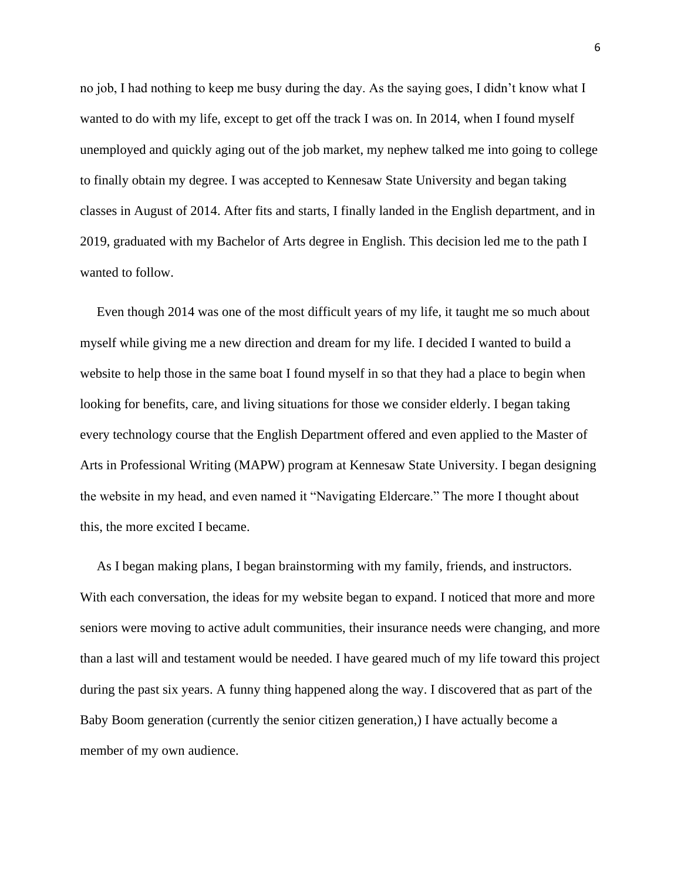no job, I had nothing to keep me busy during the day. As the saying goes, I didn't know what I wanted to do with my life, except to get off the track I was on. In 2014, when I found myself unemployed and quickly aging out of the job market, my nephew talked me into going to college to finally obtain my degree. I was accepted to Kennesaw State University and began taking classes in August of 2014. After fits and starts, I finally landed in the English department, and in 2019, graduated with my Bachelor of Arts degree in English. This decision led me to the path I wanted to follow.

 Even though 2014 was one of the most difficult years of my life, it taught me so much about myself while giving me a new direction and dream for my life. I decided I wanted to build a website to help those in the same boat I found myself in so that they had a place to begin when looking for benefits, care, and living situations for those we consider elderly. I began taking every technology course that the English Department offered and even applied to the Master of Arts in Professional Writing (MAPW) program at Kennesaw State University. I began designing the website in my head, and even named it "Navigating Eldercare." The more I thought about this, the more excited I became.

 As I began making plans, I began brainstorming with my family, friends, and instructors. With each conversation, the ideas for my website began to expand. I noticed that more and more seniors were moving to active adult communities, their insurance needs were changing, and more than a last will and testament would be needed. I have geared much of my life toward this project during the past six years. A funny thing happened along the way. I discovered that as part of the Baby Boom generation (currently the senior citizen generation,) I have actually become a member of my own audience.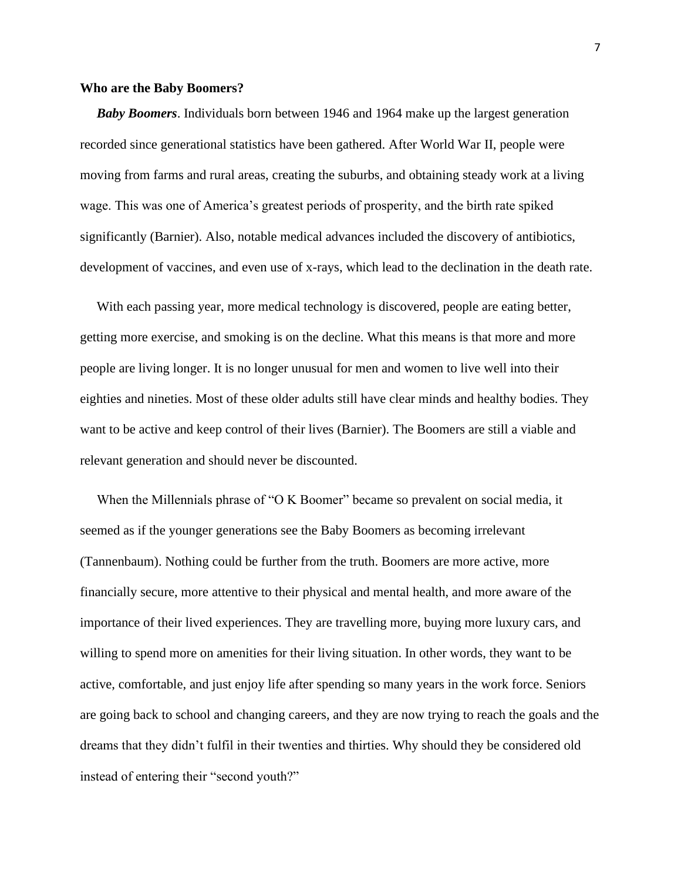#### **Who are the Baby Boomers?**

 *Baby Boomers*. Individuals born between 1946 and 1964 make up the largest generation recorded since generational statistics have been gathered. After World War II, people were moving from farms and rural areas, creating the suburbs, and obtaining steady work at a living wage. This was one of America's greatest periods of prosperity, and the birth rate spiked significantly (Barnier). Also, notable medical advances included the discovery of antibiotics, development of vaccines, and even use of x-rays, which lead to the declination in the death rate.

With each passing year, more medical technology is discovered, people are eating better, getting more exercise, and smoking is on the decline. What this means is that more and more people are living longer. It is no longer unusual for men and women to live well into their eighties and nineties. Most of these older adults still have clear minds and healthy bodies. They want to be active and keep control of their lives (Barnier). The Boomers are still a viable and relevant generation and should never be discounted.

When the Millennials phrase of "O K Boomer" became so prevalent on social media, it seemed as if the younger generations see the Baby Boomers as becoming irrelevant (Tannenbaum). Nothing could be further from the truth. Boomers are more active, more financially secure, more attentive to their physical and mental health, and more aware of the importance of their lived experiences. They are travelling more, buying more luxury cars, and willing to spend more on amenities for their living situation. In other words, they want to be active, comfortable, and just enjoy life after spending so many years in the work force. Seniors are going back to school and changing careers, and they are now trying to reach the goals and the dreams that they didn't fulfil in their twenties and thirties. Why should they be considered old instead of entering their "second youth?"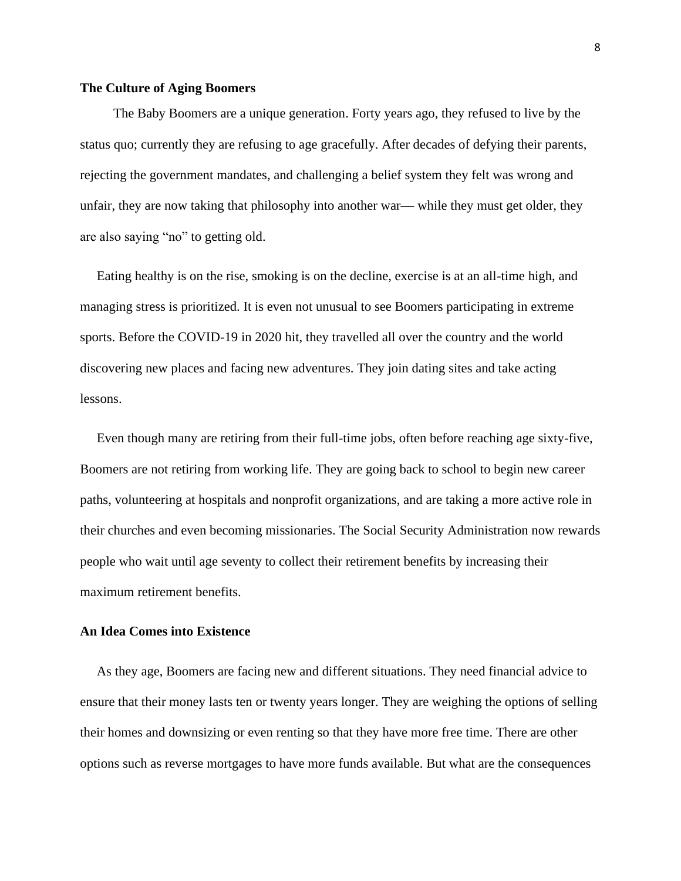## **The Culture of Aging Boomers**

 The Baby Boomers are a unique generation. Forty years ago, they refused to live by the status quo; currently they are refusing to age gracefully. After decades of defying their parents, rejecting the government mandates, and challenging a belief system they felt was wrong and unfair, they are now taking that philosophy into another war— while they must get older, they are also saying "no" to getting old.

 Eating healthy is on the rise, smoking is on the decline, exercise is at an all-time high, and managing stress is prioritized. It is even not unusual to see Boomers participating in extreme sports. Before the COVID-19 in 2020 hit, they travelled all over the country and the world discovering new places and facing new adventures. They join dating sites and take acting lessons.

 Even though many are retiring from their full-time jobs, often before reaching age sixty-five, Boomers are not retiring from working life. They are going back to school to begin new career paths, volunteering at hospitals and nonprofit organizations, and are taking a more active role in their churches and even becoming missionaries. The Social Security Administration now rewards people who wait until age seventy to collect their retirement benefits by increasing their maximum retirement benefits.

## **An Idea Comes into Existence**

 As they age, Boomers are facing new and different situations. They need financial advice to ensure that their money lasts ten or twenty years longer. They are weighing the options of selling their homes and downsizing or even renting so that they have more free time. There are other options such as reverse mortgages to have more funds available. But what are the consequences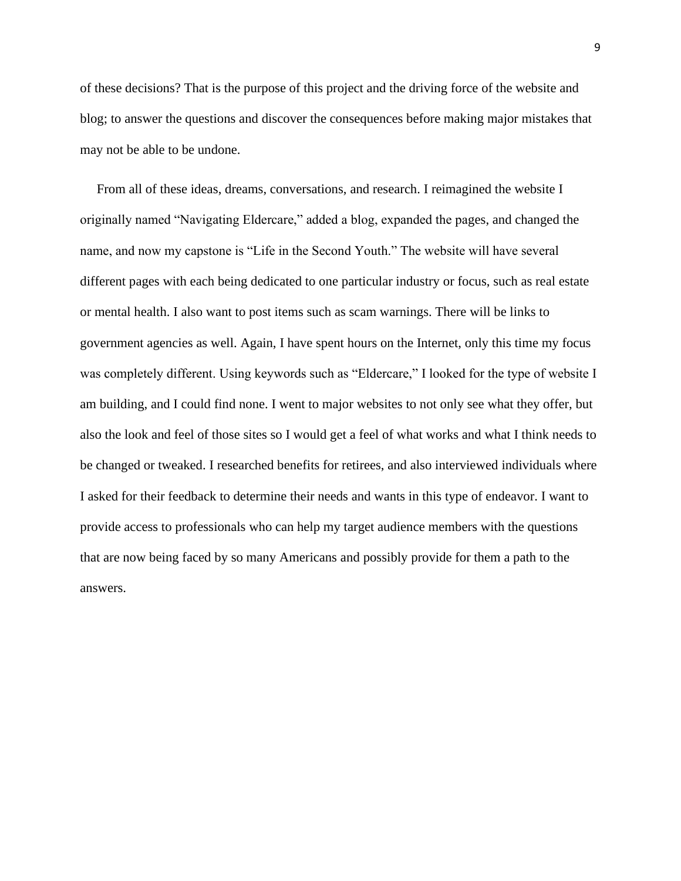of these decisions? That is the purpose of this project and the driving force of the website and blog; to answer the questions and discover the consequences before making major mistakes that may not be able to be undone.

 From all of these ideas, dreams, conversations, and research. I reimagined the website I originally named "Navigating Eldercare," added a blog, expanded the pages, and changed the name, and now my capstone is "Life in the Second Youth." The website will have several different pages with each being dedicated to one particular industry or focus, such as real estate or mental health. I also want to post items such as scam warnings. There will be links to government agencies as well. Again, I have spent hours on the Internet, only this time my focus was completely different. Using keywords such as "Eldercare," I looked for the type of website I am building, and I could find none. I went to major websites to not only see what they offer, but also the look and feel of those sites so I would get a feel of what works and what I think needs to be changed or tweaked. I researched benefits for retirees, and also interviewed individuals where I asked for their feedback to determine their needs and wants in this type of endeavor. I want to provide access to professionals who can help my target audience members with the questions that are now being faced by so many Americans and possibly provide for them a path to the answers.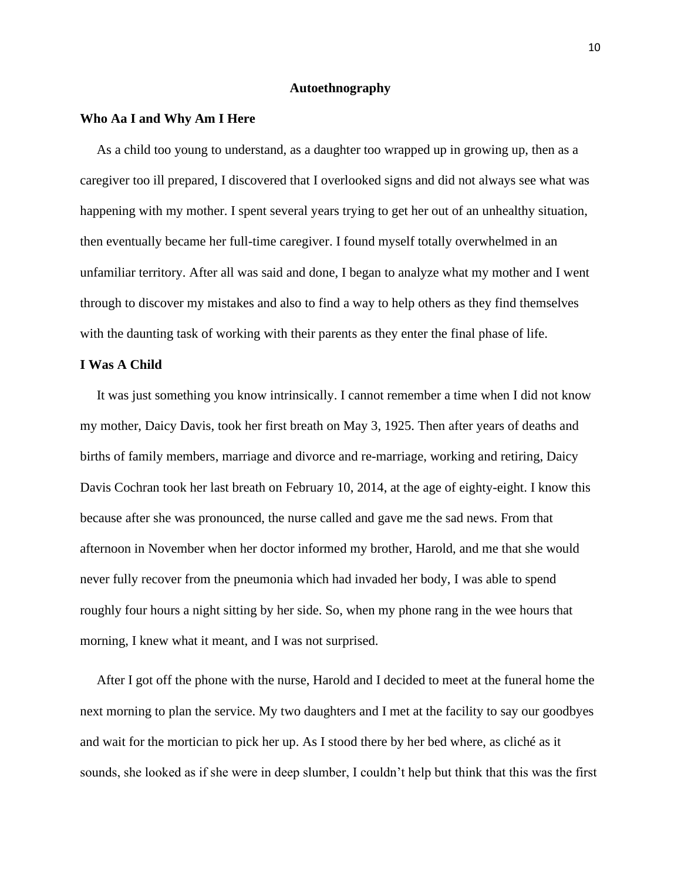## **Autoethnography**

#### **Who Aa I and Why Am I Here**

As a child too young to understand, as a daughter too wrapped up in growing up, then as a caregiver too ill prepared, I discovered that I overlooked signs and did not always see what was happening with my mother. I spent several years trying to get her out of an unhealthy situation, then eventually became her full-time caregiver. I found myself totally overwhelmed in an unfamiliar territory. After all was said and done, I began to analyze what my mother and I went through to discover my mistakes and also to find a way to help others as they find themselves with the daunting task of working with their parents as they enter the final phase of life.

#### **I Was A Child**

 It was just something you know intrinsically. I cannot remember a time when I did not know my mother, Daicy Davis, took her first breath on May 3, 1925. Then after years of deaths and births of family members, marriage and divorce and re-marriage, working and retiring, Daicy Davis Cochran took her last breath on February 10, 2014, at the age of eighty-eight. I know this because after she was pronounced, the nurse called and gave me the sad news. From that afternoon in November when her doctor informed my brother, Harold, and me that she would never fully recover from the pneumonia which had invaded her body, I was able to spend roughly four hours a night sitting by her side. So, when my phone rang in the wee hours that morning, I knew what it meant, and I was not surprised.

 After I got off the phone with the nurse, Harold and I decided to meet at the funeral home the next morning to plan the service. My two daughters and I met at the facility to say our goodbyes and wait for the mortician to pick her up. As I stood there by her bed where, as cliché as it sounds, she looked as if she were in deep slumber, I couldn't help but think that this was the first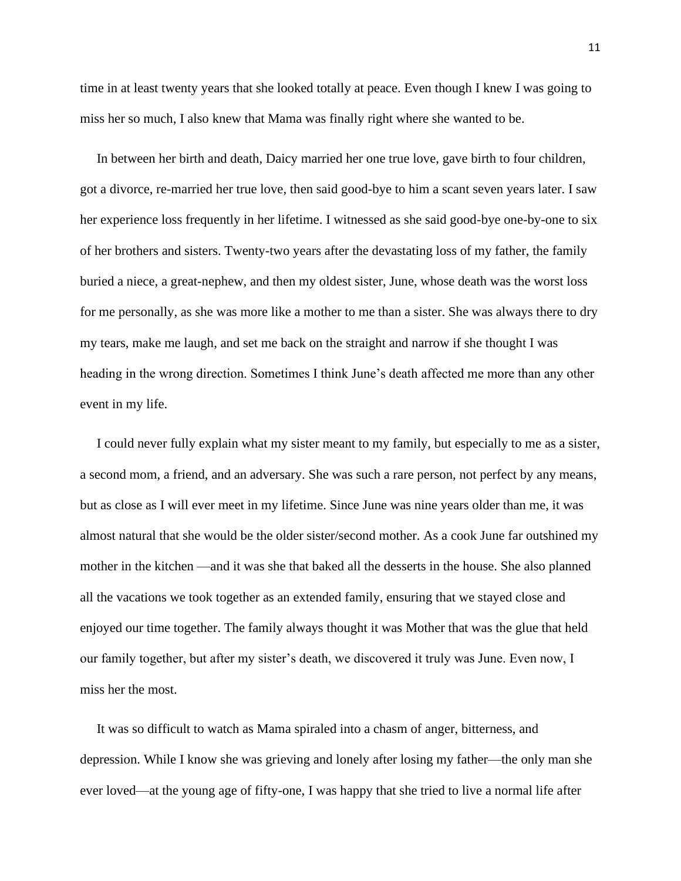time in at least twenty years that she looked totally at peace. Even though I knew I was going to miss her so much, I also knew that Mama was finally right where she wanted to be.

 In between her birth and death, Daicy married her one true love, gave birth to four children, got a divorce, re-married her true love, then said good-bye to him a scant seven years later. I saw her experience loss frequently in her lifetime. I witnessed as she said good-bye one-by-one to six of her brothers and sisters. Twenty-two years after the devastating loss of my father, the family buried a niece, a great-nephew, and then my oldest sister, June, whose death was the worst loss for me personally, as she was more like a mother to me than a sister. She was always there to dry my tears, make me laugh, and set me back on the straight and narrow if she thought I was heading in the wrong direction. Sometimes I think June's death affected me more than any other event in my life.

 I could never fully explain what my sister meant to my family, but especially to me as a sister, a second mom, a friend, and an adversary. She was such a rare person, not perfect by any means, but as close as I will ever meet in my lifetime. Since June was nine years older than me, it was almost natural that she would be the older sister/second mother. As a cook June far outshined my mother in the kitchen —and it was she that baked all the desserts in the house. She also planned all the vacations we took together as an extended family, ensuring that we stayed close and enjoyed our time together. The family always thought it was Mother that was the glue that held our family together, but after my sister's death, we discovered it truly was June. Even now, I miss her the most.

 It was so difficult to watch as Mama spiraled into a chasm of anger, bitterness, and depression. While I know she was grieving and lonely after losing my father—the only man she ever loved—at the young age of fifty-one, I was happy that she tried to live a normal life after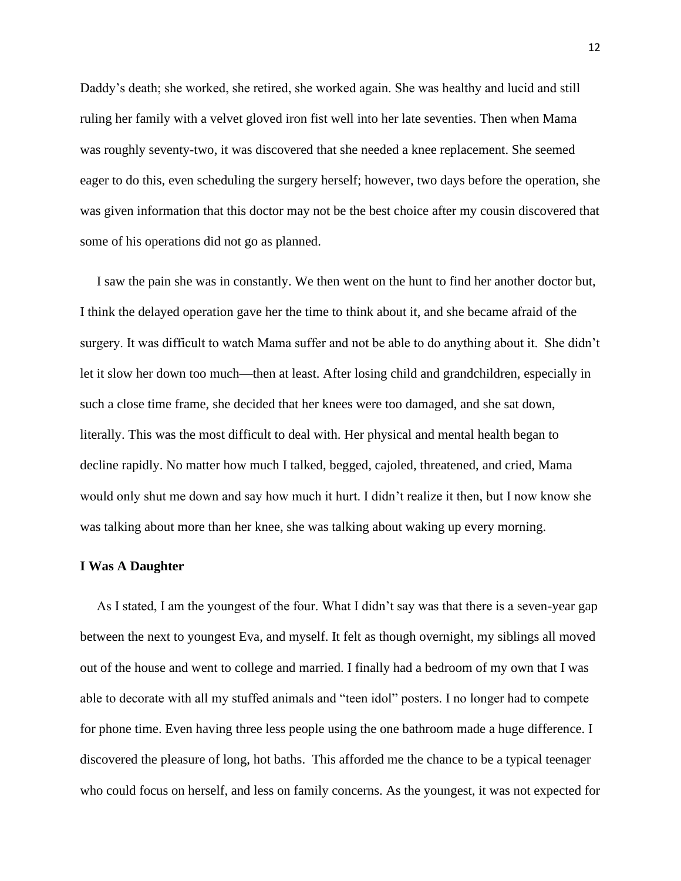Daddy's death; she worked, she retired, she worked again. She was healthy and lucid and still ruling her family with a velvet gloved iron fist well into her late seventies. Then when Mama was roughly seventy-two, it was discovered that she needed a knee replacement. She seemed eager to do this, even scheduling the surgery herself; however, two days before the operation, she was given information that this doctor may not be the best choice after my cousin discovered that some of his operations did not go as planned.

 I saw the pain she was in constantly. We then went on the hunt to find her another doctor but, I think the delayed operation gave her the time to think about it, and she became afraid of the surgery. It was difficult to watch Mama suffer and not be able to do anything about it. She didn't let it slow her down too much—then at least. After losing child and grandchildren, especially in such a close time frame, she decided that her knees were too damaged, and she sat down, literally. This was the most difficult to deal with. Her physical and mental health began to decline rapidly. No matter how much I talked, begged, cajoled, threatened, and cried, Mama would only shut me down and say how much it hurt. I didn't realize it then, but I now know she was talking about more than her knee, she was talking about waking up every morning.

#### **I Was A Daughter**

 As I stated, I am the youngest of the four. What I didn't say was that there is a seven-year gap between the next to youngest Eva, and myself. It felt as though overnight, my siblings all moved out of the house and went to college and married. I finally had a bedroom of my own that I was able to decorate with all my stuffed animals and "teen idol" posters. I no longer had to compete for phone time. Even having three less people using the one bathroom made a huge difference. I discovered the pleasure of long, hot baths. This afforded me the chance to be a typical teenager who could focus on herself, and less on family concerns. As the youngest, it was not expected for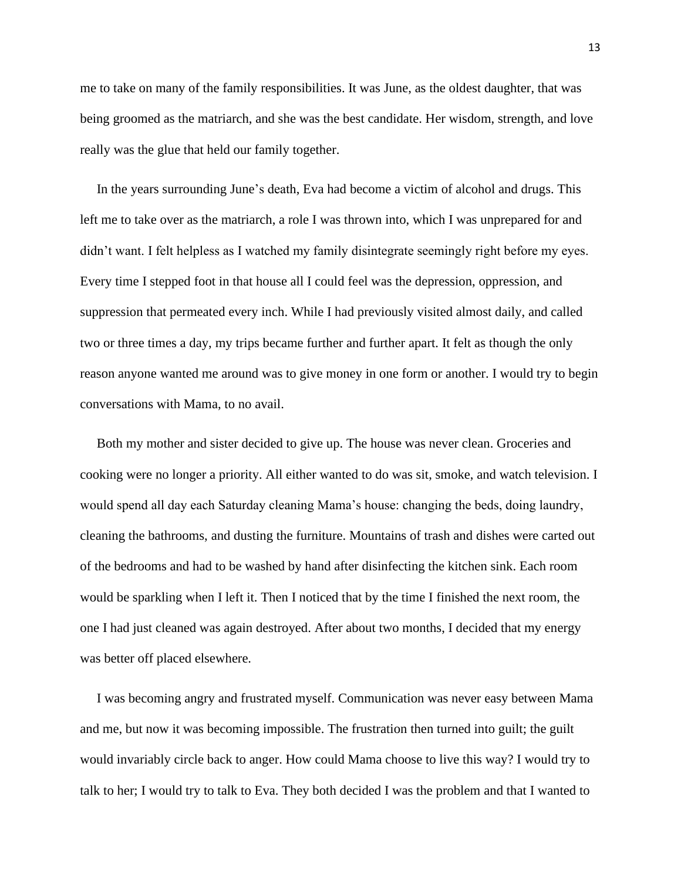me to take on many of the family responsibilities. It was June, as the oldest daughter, that was being groomed as the matriarch, and she was the best candidate. Her wisdom, strength, and love really was the glue that held our family together.

 In the years surrounding June's death, Eva had become a victim of alcohol and drugs. This left me to take over as the matriarch, a role I was thrown into, which I was unprepared for and didn't want. I felt helpless as I watched my family disintegrate seemingly right before my eyes. Every time I stepped foot in that house all I could feel was the depression, oppression, and suppression that permeated every inch. While I had previously visited almost daily, and called two or three times a day, my trips became further and further apart. It felt as though the only reason anyone wanted me around was to give money in one form or another. I would try to begin conversations with Mama, to no avail.

 Both my mother and sister decided to give up. The house was never clean. Groceries and cooking were no longer a priority. All either wanted to do was sit, smoke, and watch television. I would spend all day each Saturday cleaning Mama's house: changing the beds, doing laundry, cleaning the bathrooms, and dusting the furniture. Mountains of trash and dishes were carted out of the bedrooms and had to be washed by hand after disinfecting the kitchen sink. Each room would be sparkling when I left it. Then I noticed that by the time I finished the next room, the one I had just cleaned was again destroyed. After about two months, I decided that my energy was better off placed elsewhere.

 I was becoming angry and frustrated myself. Communication was never easy between Mama and me, but now it was becoming impossible. The frustration then turned into guilt; the guilt would invariably circle back to anger. How could Mama choose to live this way? I would try to talk to her; I would try to talk to Eva. They both decided I was the problem and that I wanted to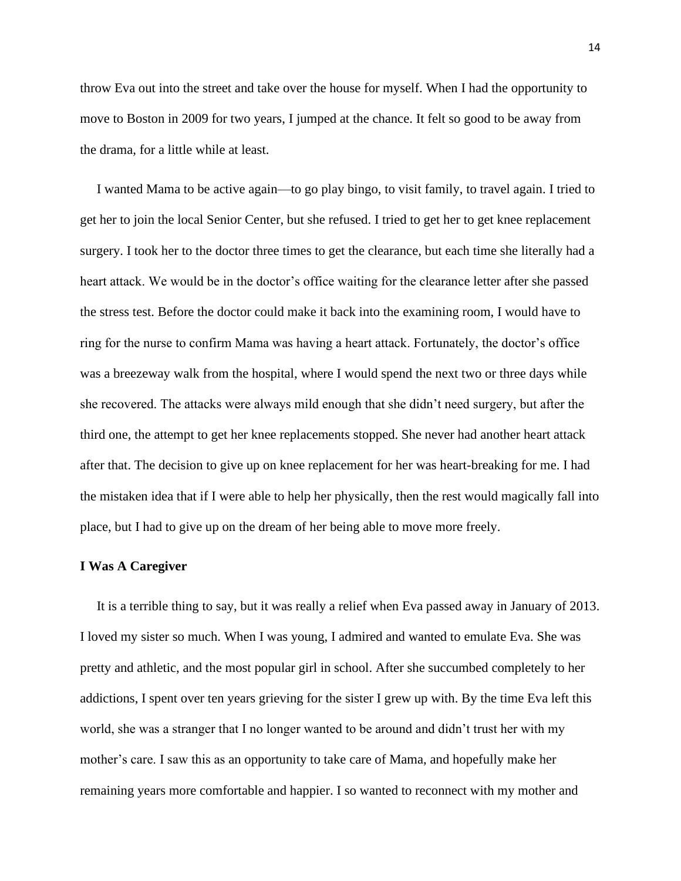throw Eva out into the street and take over the house for myself. When I had the opportunity to move to Boston in 2009 for two years, I jumped at the chance. It felt so good to be away from the drama, for a little while at least.

 I wanted Mama to be active again—to go play bingo, to visit family, to travel again. I tried to get her to join the local Senior Center, but she refused. I tried to get her to get knee replacement surgery. I took her to the doctor three times to get the clearance, but each time she literally had a heart attack. We would be in the doctor's office waiting for the clearance letter after she passed the stress test. Before the doctor could make it back into the examining room, I would have to ring for the nurse to confirm Mama was having a heart attack. Fortunately, the doctor's office was a breezeway walk from the hospital, where I would spend the next two or three days while she recovered. The attacks were always mild enough that she didn't need surgery, but after the third one, the attempt to get her knee replacements stopped. She never had another heart attack after that. The decision to give up on knee replacement for her was heart-breaking for me. I had the mistaken idea that if I were able to help her physically, then the rest would magically fall into place, but I had to give up on the dream of her being able to move more freely.

#### **I Was A Caregiver**

 It is a terrible thing to say, but it was really a relief when Eva passed away in January of 2013. I loved my sister so much. When I was young, I admired and wanted to emulate Eva. She was pretty and athletic, and the most popular girl in school. After she succumbed completely to her addictions, I spent over ten years grieving for the sister I grew up with. By the time Eva left this world, she was a stranger that I no longer wanted to be around and didn't trust her with my mother's care. I saw this as an opportunity to take care of Mama, and hopefully make her remaining years more comfortable and happier. I so wanted to reconnect with my mother and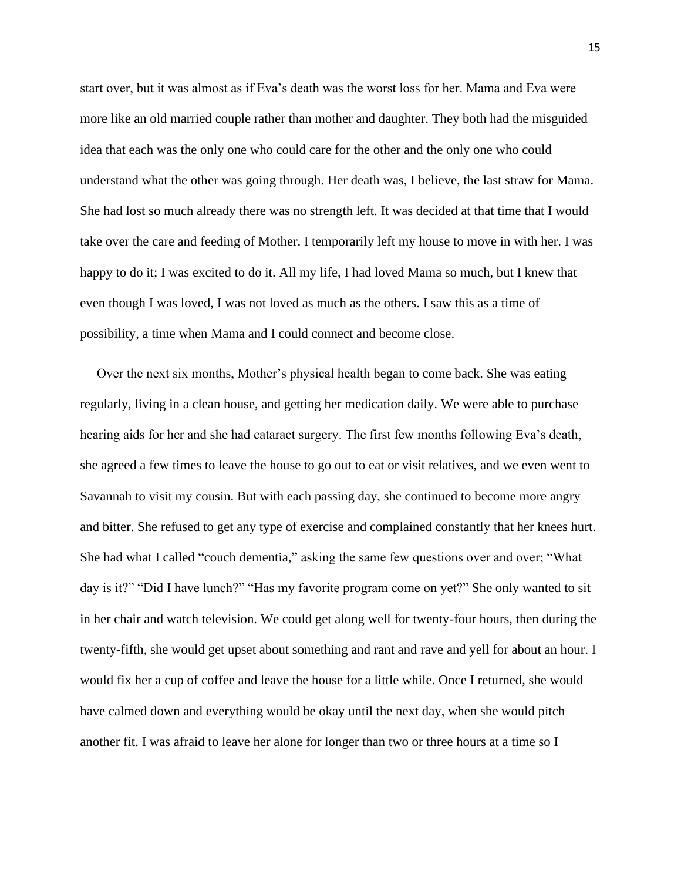start over, but it was almost as if Eva's death was the worst loss for her. Mama and Eva were more like an old married couple rather than mother and daughter. They both had the misguided idea that each was the only one who could care for the other and the only one who could understand what the other was going through. Her death was, I believe, the last straw for Mama. She had lost so much already there was no strength left. It was decided at that time that I would take over the care and feeding of Mother. I temporarily left my house to move in with her. I was happy to do it; I was excited to do it. All my life, I had loved Mama so much, but I knew that even though I was loved, I was not loved as much as the others. I saw this as a time of possibility, a time when Mama and I could connect and become close.

 Over the next six months, Mother's physical health began to come back. She was eating regularly, living in a clean house, and getting her medication daily. We were able to purchase hearing aids for her and she had cataract surgery. The first few months following Eva's death, she agreed a few times to leave the house to go out to eat or visit relatives, and we even went to Savannah to visit my cousin. But with each passing day, she continued to become more angry and bitter. She refused to get any type of exercise and complained constantly that her knees hurt. She had what I called "couch dementia," asking the same few questions over and over; "What day is it?" "Did I have lunch?" "Has my favorite program come on yet?" She only wanted to sit in her chair and watch television. We could get along well for twenty-four hours, then during the twenty-fifth, she would get upset about something and rant and rave and yell for about an hour. I would fix her a cup of coffee and leave the house for a little while. Once I returned, she would have calmed down and everything would be okay until the next day, when she would pitch another fit. I was afraid to leave her alone for longer than two or three hours at a time so I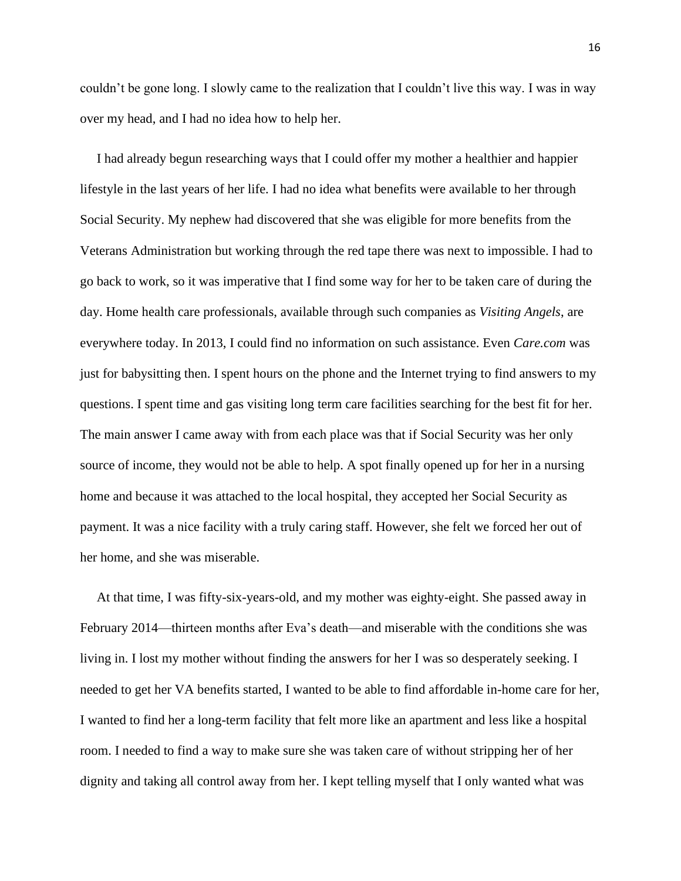couldn't be gone long. I slowly came to the realization that I couldn't live this way. I was in way over my head, and I had no idea how to help her.

 I had already begun researching ways that I could offer my mother a healthier and happier lifestyle in the last years of her life. I had no idea what benefits were available to her through Social Security. My nephew had discovered that she was eligible for more benefits from the Veterans Administration but working through the red tape there was next to impossible. I had to go back to work, so it was imperative that I find some way for her to be taken care of during the day. Home health care professionals, available through such companies as *Visiting Angels*, are everywhere today. In 2013, I could find no information on such assistance. Even *Care.com* was just for babysitting then. I spent hours on the phone and the Internet trying to find answers to my questions. I spent time and gas visiting long term care facilities searching for the best fit for her. The main answer I came away with from each place was that if Social Security was her only source of income, they would not be able to help. A spot finally opened up for her in a nursing home and because it was attached to the local hospital, they accepted her Social Security as payment. It was a nice facility with a truly caring staff. However, she felt we forced her out of her home, and she was miserable.

 At that time, I was fifty-six-years-old, and my mother was eighty-eight. She passed away in February 2014—thirteen months after Eva's death—and miserable with the conditions she was living in. I lost my mother without finding the answers for her I was so desperately seeking. I needed to get her VA benefits started, I wanted to be able to find affordable in-home care for her, I wanted to find her a long-term facility that felt more like an apartment and less like a hospital room. I needed to find a way to make sure she was taken care of without stripping her of her dignity and taking all control away from her. I kept telling myself that I only wanted what was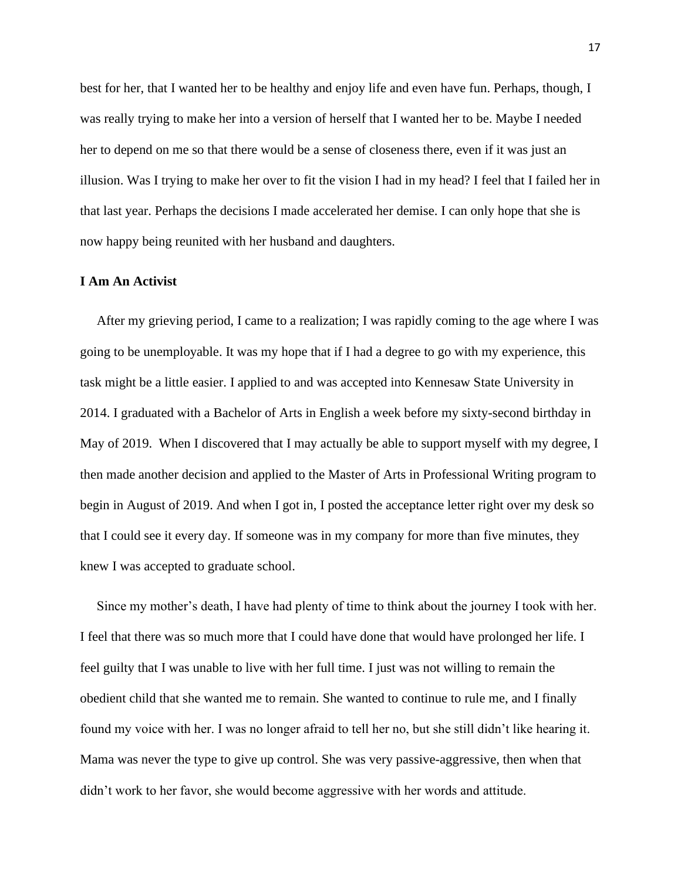best for her, that I wanted her to be healthy and enjoy life and even have fun. Perhaps, though, I was really trying to make her into a version of herself that I wanted her to be. Maybe I needed her to depend on me so that there would be a sense of closeness there, even if it was just an illusion. Was I trying to make her over to fit the vision I had in my head? I feel that I failed her in that last year. Perhaps the decisions I made accelerated her demise. I can only hope that she is now happy being reunited with her husband and daughters.

#### **I Am An Activist**

 After my grieving period, I came to a realization; I was rapidly coming to the age where I was going to be unemployable. It was my hope that if I had a degree to go with my experience, this task might be a little easier. I applied to and was accepted into Kennesaw State University in 2014. I graduated with a Bachelor of Arts in English a week before my sixty-second birthday in May of 2019. When I discovered that I may actually be able to support myself with my degree, I then made another decision and applied to the Master of Arts in Professional Writing program to begin in August of 2019. And when I got in, I posted the acceptance letter right over my desk so that I could see it every day. If someone was in my company for more than five minutes, they knew I was accepted to graduate school.

 Since my mother's death, I have had plenty of time to think about the journey I took with her. I feel that there was so much more that I could have done that would have prolonged her life. I feel guilty that I was unable to live with her full time. I just was not willing to remain the obedient child that she wanted me to remain. She wanted to continue to rule me, and I finally found my voice with her. I was no longer afraid to tell her no, but she still didn't like hearing it. Mama was never the type to give up control. She was very passive-aggressive, then when that didn't work to her favor, she would become aggressive with her words and attitude.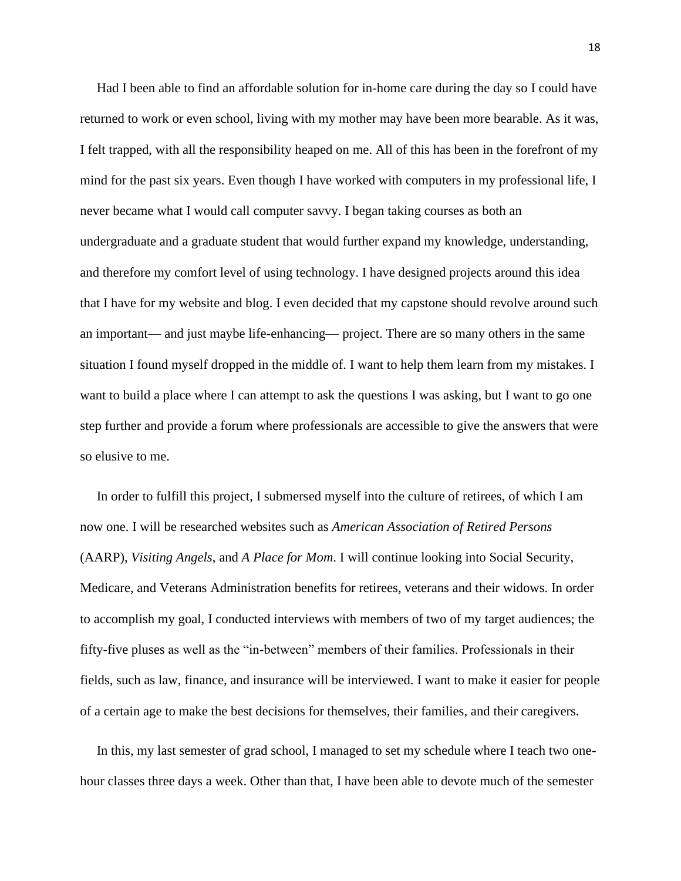Had I been able to find an affordable solution for in-home care during the day so I could have returned to work or even school, living with my mother may have been more bearable. As it was, I felt trapped, with all the responsibility heaped on me. All of this has been in the forefront of my mind for the past six years. Even though I have worked with computers in my professional life, I never became what I would call computer savvy. I began taking courses as both an undergraduate and a graduate student that would further expand my knowledge, understanding, and therefore my comfort level of using technology. I have designed projects around this idea that I have for my website and blog. I even decided that my capstone should revolve around such an important— and just maybe life-enhancing— project. There are so many others in the same situation I found myself dropped in the middle of. I want to help them learn from my mistakes. I want to build a place where I can attempt to ask the questions I was asking, but I want to go one step further and provide a forum where professionals are accessible to give the answers that were so elusive to me.

 In order to fulfill this project, I submersed myself into the culture of retirees, of which I am now one. I will be researched websites such as *American Association of Retired Persons* (AARP), *Visiting Angels*, and *A Place for Mom*. I will continue looking into Social Security, Medicare, and Veterans Administration benefits for retirees, veterans and their widows. In order to accomplish my goal, I conducted interviews with members of two of my target audiences; the fifty-five pluses as well as the "in-between" members of their families. Professionals in their fields, such as law, finance, and insurance will be interviewed. I want to make it easier for people of a certain age to make the best decisions for themselves, their families, and their caregivers.

 In this, my last semester of grad school, I managed to set my schedule where I teach two onehour classes three days a week. Other than that, I have been able to devote much of the semester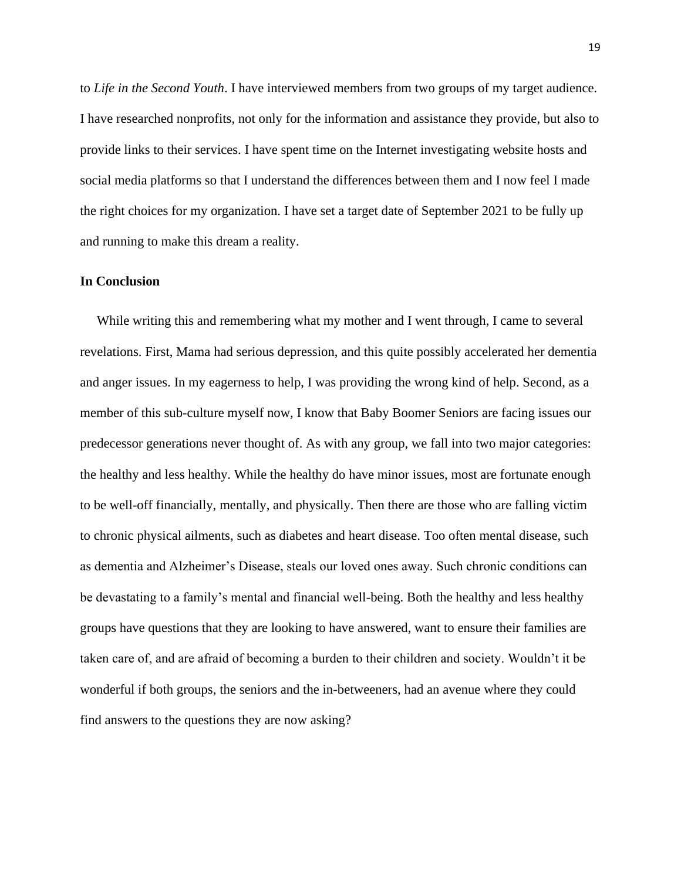to *Life in the Second Youth*. I have interviewed members from two groups of my target audience. I have researched nonprofits, not only for the information and assistance they provide, but also to provide links to their services. I have spent time on the Internet investigating website hosts and social media platforms so that I understand the differences between them and I now feel I made the right choices for my organization. I have set a target date of September 2021 to be fully up and running to make this dream a reality.

#### **In Conclusion**

 While writing this and remembering what my mother and I went through, I came to several revelations. First, Mama had serious depression, and this quite possibly accelerated her dementia and anger issues. In my eagerness to help, I was providing the wrong kind of help. Second, as a member of this sub-culture myself now, I know that Baby Boomer Seniors are facing issues our predecessor generations never thought of. As with any group, we fall into two major categories: the healthy and less healthy. While the healthy do have minor issues, most are fortunate enough to be well-off financially, mentally, and physically. Then there are those who are falling victim to chronic physical ailments, such as diabetes and heart disease. Too often mental disease, such as dementia and Alzheimer's Disease, steals our loved ones away. Such chronic conditions can be devastating to a family's mental and financial well-being. Both the healthy and less healthy groups have questions that they are looking to have answered, want to ensure their families are taken care of, and are afraid of becoming a burden to their children and society. Wouldn't it be wonderful if both groups, the seniors and the in-betweeners, had an avenue where they could find answers to the questions they are now asking?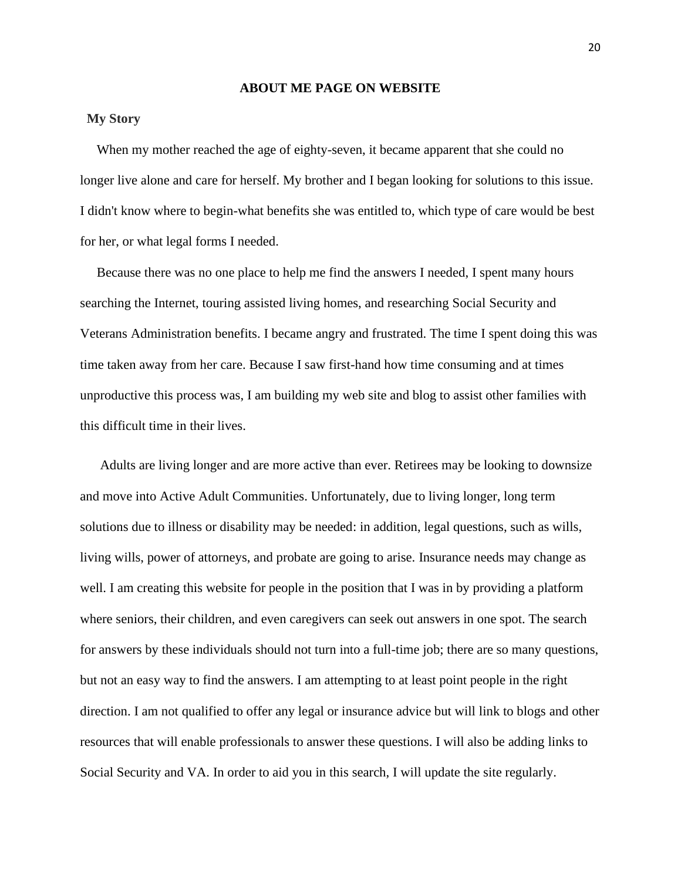#### **ABOUT ME PAGE ON WEBSITE**

## **My Story**

 When my mother reached the age of eighty-seven, it became apparent that she could no longer live alone and care for herself. My brother and I began looking for solutions to this issue. I didn't know where to begin-what benefits she was entitled to, which type of care would be best for her, or what legal forms I needed.

 Because there was no one place to help me find the answers I needed, I spent many hours searching the Internet, touring assisted living homes, and researching Social Security and Veterans Administration benefits. I became angry and frustrated. The time I spent doing this was time taken away from her care. Because I saw first-hand how time consuming and at times unproductive this process was, I am building my web site and blog to assist other families with this difficult time in their lives.

 Adults are living longer and are more active than ever. Retirees may be looking to downsize and move into Active Adult Communities. Unfortunately, due to living longer, long term solutions due to illness or disability may be needed: in addition, legal questions, such as wills, living wills, power of attorneys, and probate are going to arise. Insurance needs may change as well. I am creating this website for people in the position that I was in by providing a platform where seniors, their children, and even caregivers can seek out answers in one spot. The search for answers by these individuals should not turn into a full-time job; there are so many questions, but not an easy way to find the answers. I am attempting to at least point people in the right direction. I am not qualified to offer any legal or insurance advice but will link to blogs and other resources that will enable professionals to answer these questions. I will also be adding links to Social Security and VA. In order to aid you in this search, I will update the site regularly.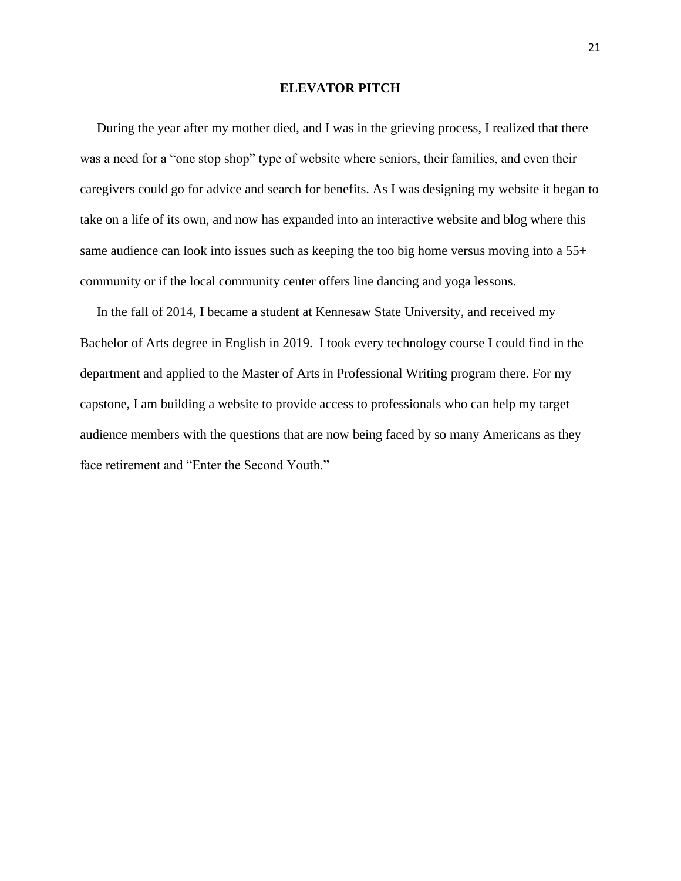#### **ELEVATOR PITCH**

 During the year after my mother died, and I was in the grieving process, I realized that there was a need for a "one stop shop" type of website where seniors, their families, and even their caregivers could go for advice and search for benefits. As I was designing my website it began to take on a life of its own, and now has expanded into an interactive website and blog where this same audience can look into issues such as keeping the too big home versus moving into a 55+ community or if the local community center offers line dancing and yoga lessons.

 In the fall of 2014, I became a student at Kennesaw State University, and received my Bachelor of Arts degree in English in 2019. I took every technology course I could find in the department and applied to the Master of Arts in Professional Writing program there. For my capstone, I am building a website to provide access to professionals who can help my target audience members with the questions that are now being faced by so many Americans as they face retirement and "Enter the Second Youth."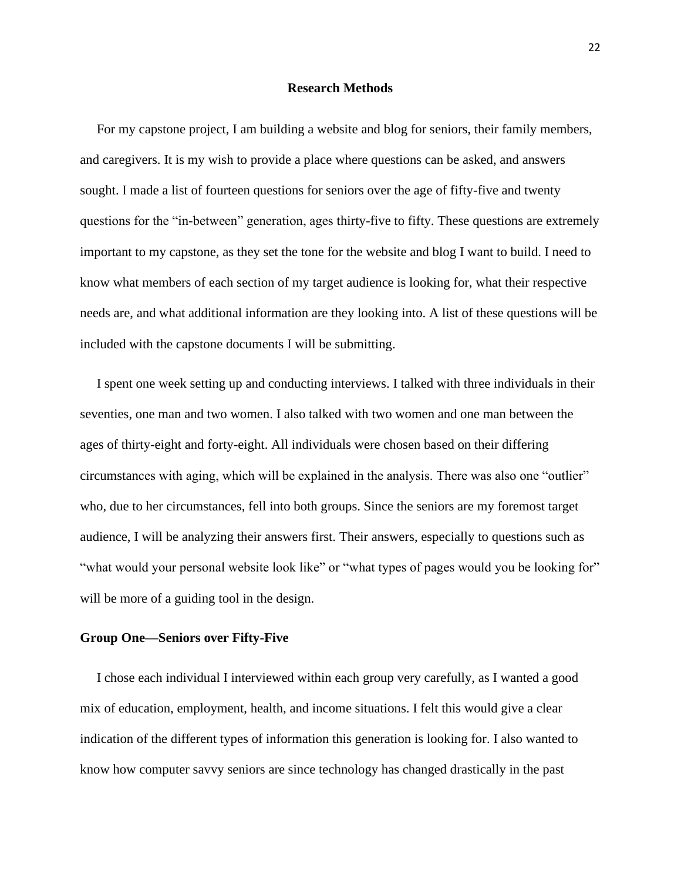#### **Research Methods**

 For my capstone project, I am building a website and blog for seniors, their family members, and caregivers. It is my wish to provide a place where questions can be asked, and answers sought. I made a list of fourteen questions for seniors over the age of fifty-five and twenty questions for the "in-between" generation, ages thirty-five to fifty. These questions are extremely important to my capstone, as they set the tone for the website and blog I want to build. I need to know what members of each section of my target audience is looking for, what their respective needs are, and what additional information are they looking into. A list of these questions will be included with the capstone documents I will be submitting.

 I spent one week setting up and conducting interviews. I talked with three individuals in their seventies, one man and two women. I also talked with two women and one man between the ages of thirty-eight and forty-eight. All individuals were chosen based on their differing circumstances with aging, which will be explained in the analysis. There was also one "outlier" who, due to her circumstances, fell into both groups. Since the seniors are my foremost target audience, I will be analyzing their answers first. Their answers, especially to questions such as "what would your personal website look like" or "what types of pages would you be looking for" will be more of a guiding tool in the design.

#### **Group One—Seniors over Fifty-Five**

 I chose each individual I interviewed within each group very carefully, as I wanted a good mix of education, employment, health, and income situations. I felt this would give a clear indication of the different types of information this generation is looking for. I also wanted to know how computer savvy seniors are since technology has changed drastically in the past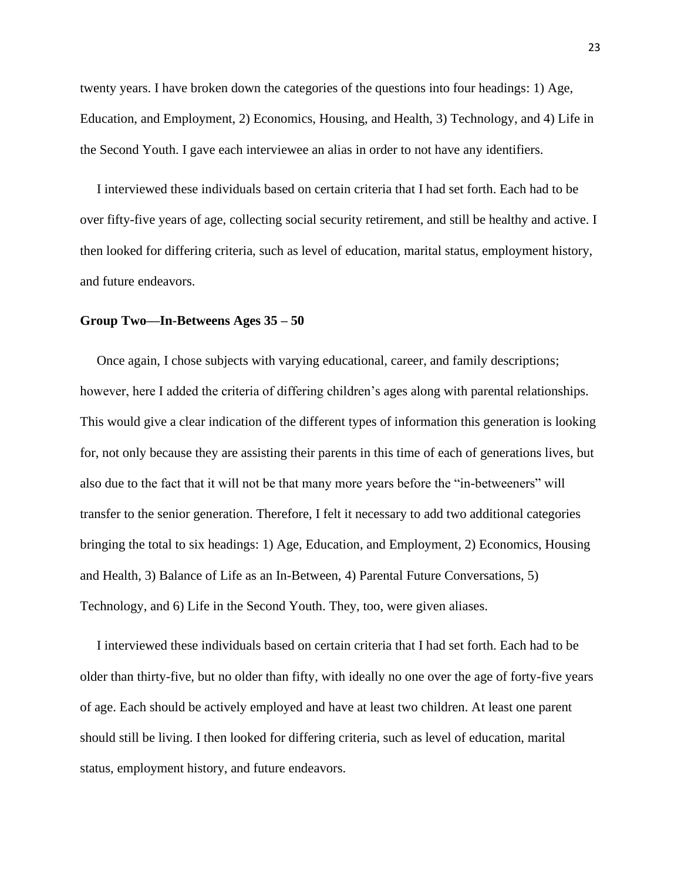twenty years. I have broken down the categories of the questions into four headings: 1) Age, Education, and Employment, 2) Economics, Housing, and Health, 3) Technology, and 4) Life in the Second Youth. I gave each interviewee an alias in order to not have any identifiers.

 I interviewed these individuals based on certain criteria that I had set forth. Each had to be over fifty-five years of age, collecting social security retirement, and still be healthy and active. I then looked for differing criteria, such as level of education, marital status, employment history, and future endeavors.

#### **Group Two—In-Betweens Ages 35 – 50**

 Once again, I chose subjects with varying educational, career, and family descriptions; however, here I added the criteria of differing children's ages along with parental relationships. This would give a clear indication of the different types of information this generation is looking for, not only because they are assisting their parents in this time of each of generations lives, but also due to the fact that it will not be that many more years before the "in-betweeners" will transfer to the senior generation. Therefore, I felt it necessary to add two additional categories bringing the total to six headings: 1) Age, Education, and Employment, 2) Economics, Housing and Health, 3) Balance of Life as an In-Between, 4) Parental Future Conversations, 5) Technology, and 6) Life in the Second Youth. They, too, were given aliases.

 I interviewed these individuals based on certain criteria that I had set forth. Each had to be older than thirty-five, but no older than fifty, with ideally no one over the age of forty-five years of age. Each should be actively employed and have at least two children. At least one parent should still be living. I then looked for differing criteria, such as level of education, marital status, employment history, and future endeavors.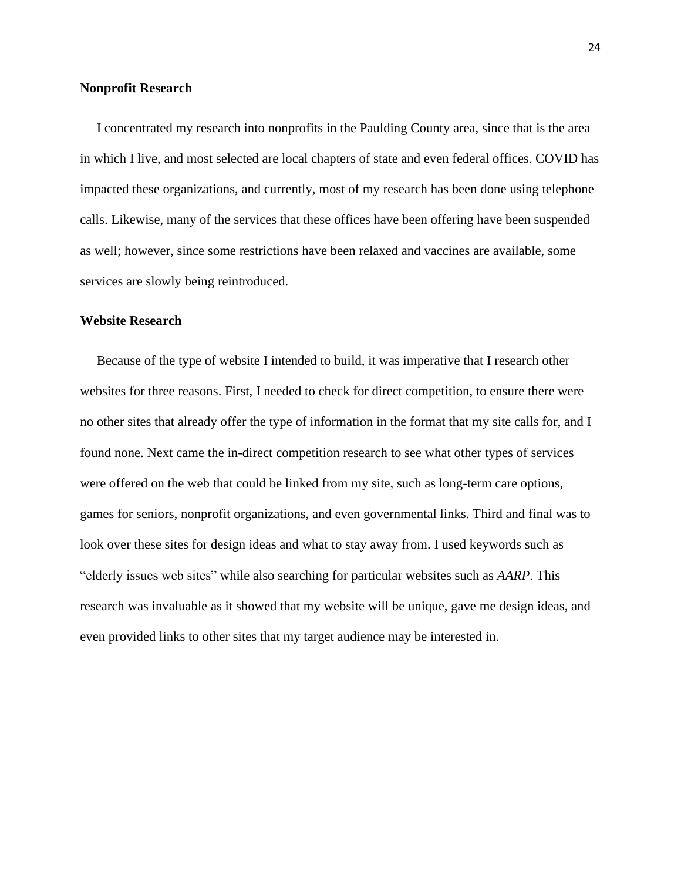### **Nonprofit Research**

 I concentrated my research into nonprofits in the Paulding County area, since that is the area in which I live, and most selected are local chapters of state and even federal offices. COVID has impacted these organizations, and currently, most of my research has been done using telephone calls. Likewise, many of the services that these offices have been offering have been suspended as well; however, since some restrictions have been relaxed and vaccines are available, some services are slowly being reintroduced.

#### **Website Research**

Because of the type of website I intended to build, it was imperative that I research other websites for three reasons. First, I needed to check for direct competition, to ensure there were no other sites that already offer the type of information in the format that my site calls for, and I found none. Next came the in-direct competition research to see what other types of services were offered on the web that could be linked from my site, such as long-term care options, games for seniors, nonprofit organizations, and even governmental links. Third and final was to look over these sites for design ideas and what to stay away from. I used keywords such as "elderly issues web sites" while also searching for particular websites such as *AARP*. This research was invaluable as it showed that my website will be unique, gave me design ideas, and even provided links to other sites that my target audience may be interested in.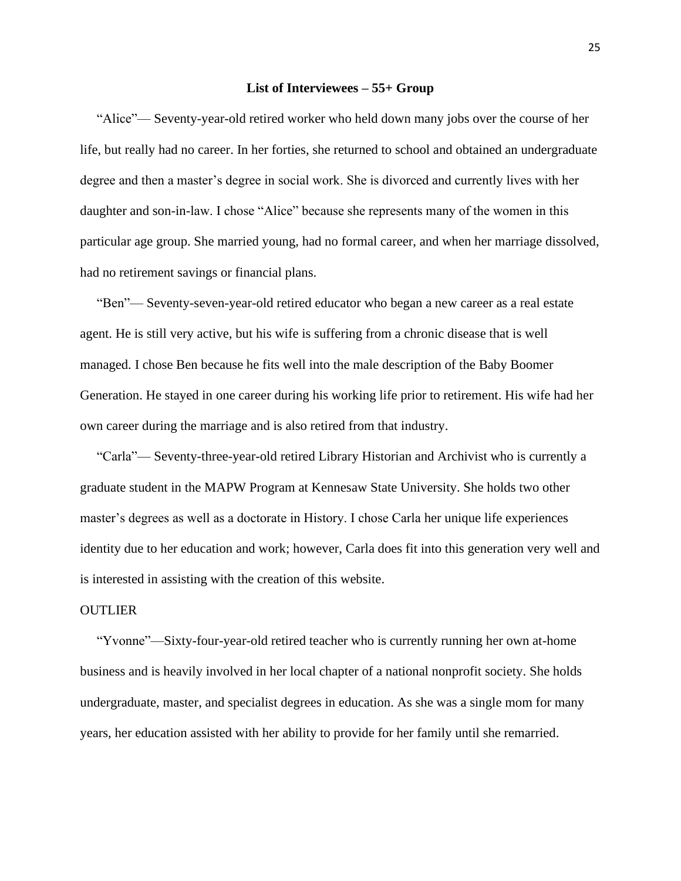#### **List of Interviewees – 55+ Group**

 "Alice"— Seventy-year-old retired worker who held down many jobs over the course of her life, but really had no career. In her forties, she returned to school and obtained an undergraduate degree and then a master's degree in social work. She is divorced and currently lives with her daughter and son-in-law. I chose "Alice" because she represents many of the women in this particular age group. She married young, had no formal career, and when her marriage dissolved, had no retirement savings or financial plans.

 "Ben"— Seventy-seven-year-old retired educator who began a new career as a real estate agent. He is still very active, but his wife is suffering from a chronic disease that is well managed. I chose Ben because he fits well into the male description of the Baby Boomer Generation. He stayed in one career during his working life prior to retirement. His wife had her own career during the marriage and is also retired from that industry.

 "Carla"— Seventy-three-year-old retired Library Historian and Archivist who is currently a graduate student in the MAPW Program at Kennesaw State University. She holds two other master's degrees as well as a doctorate in History. I chose Carla her unique life experiences identity due to her education and work; however, Carla does fit into this generation very well and is interested in assisting with the creation of this website.

#### **OUTLIER**

 "Yvonne"—Sixty-four-year-old retired teacher who is currently running her own at-home business and is heavily involved in her local chapter of a national nonprofit society. She holds undergraduate, master, and specialist degrees in education. As she was a single mom for many years, her education assisted with her ability to provide for her family until she remarried.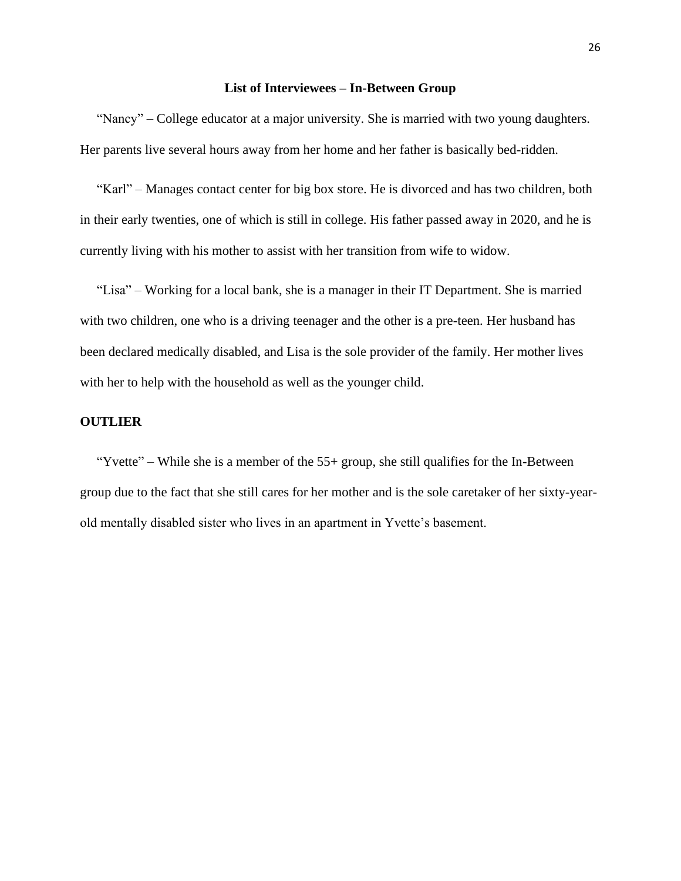#### **List of Interviewees – In-Between Group**

 "Nancy" – College educator at a major university. She is married with two young daughters. Her parents live several hours away from her home and her father is basically bed-ridden.

 "Karl" – Manages contact center for big box store. He is divorced and has two children, both in their early twenties, one of which is still in college. His father passed away in 2020, and he is currently living with his mother to assist with her transition from wife to widow.

 "Lisa" – Working for a local bank, she is a manager in their IT Department. She is married with two children, one who is a driving teenager and the other is a pre-teen. Her husband has been declared medically disabled, and Lisa is the sole provider of the family. Her mother lives with her to help with the household as well as the younger child.

## **OUTLIER**

"Yvette" – While she is a member of the  $55+$  group, she still qualifies for the In-Between group due to the fact that she still cares for her mother and is the sole caretaker of her sixty-yearold mentally disabled sister who lives in an apartment in Yvette's basement.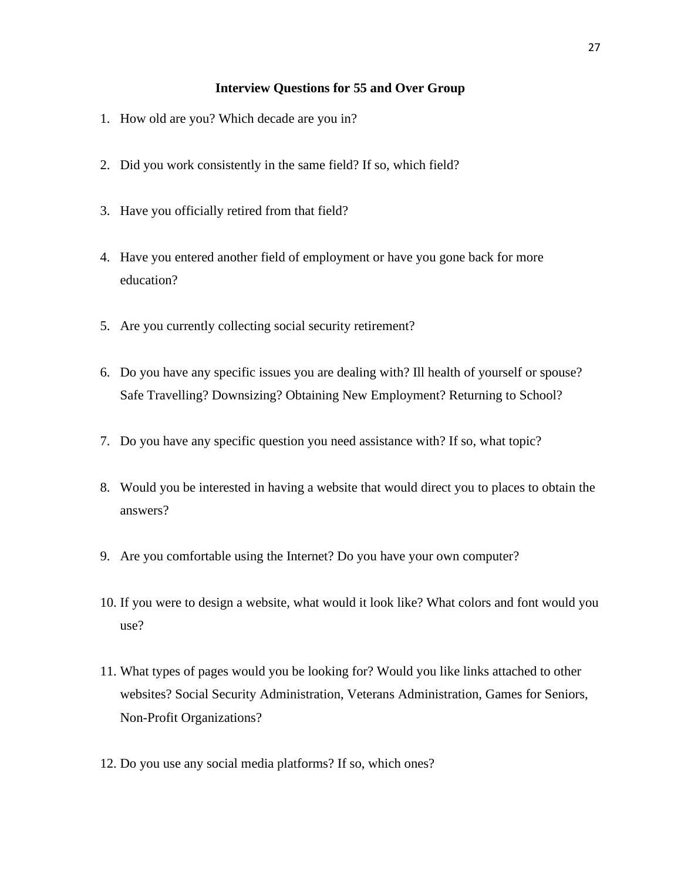## **Interview Questions for 55 and Over Group**

- 1. How old are you? Which decade are you in?
- 2. Did you work consistently in the same field? If so, which field?
- 3. Have you officially retired from that field?
- 4. Have you entered another field of employment or have you gone back for more education?
- 5. Are you currently collecting social security retirement?
- 6. Do you have any specific issues you are dealing with? Ill health of yourself or spouse? Safe Travelling? Downsizing? Obtaining New Employment? Returning to School?
- 7. Do you have any specific question you need assistance with? If so, what topic?
- 8. Would you be interested in having a website that would direct you to places to obtain the answers?
- 9. Are you comfortable using the Internet? Do you have your own computer?
- 10. If you were to design a website, what would it look like? What colors and font would you use?
- 11. What types of pages would you be looking for? Would you like links attached to other websites? Social Security Administration, Veterans Administration, Games for Seniors, Non-Profit Organizations?
- 12. Do you use any social media platforms? If so, which ones?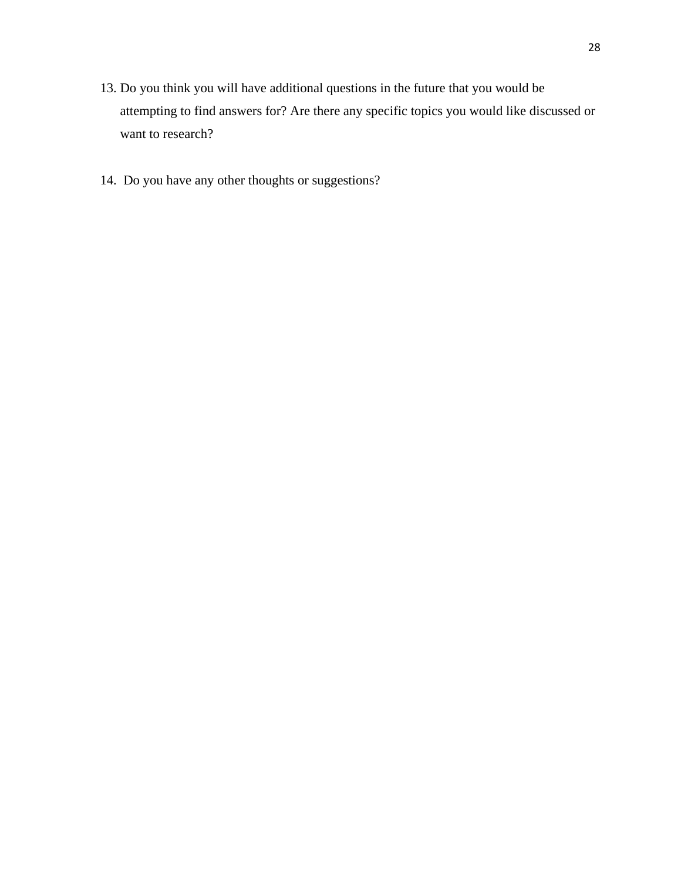- 13. Do you think you will have additional questions in the future that you would be attempting to find answers for? Are there any specific topics you would like discussed or want to research?
- 14. Do you have any other thoughts or suggestions?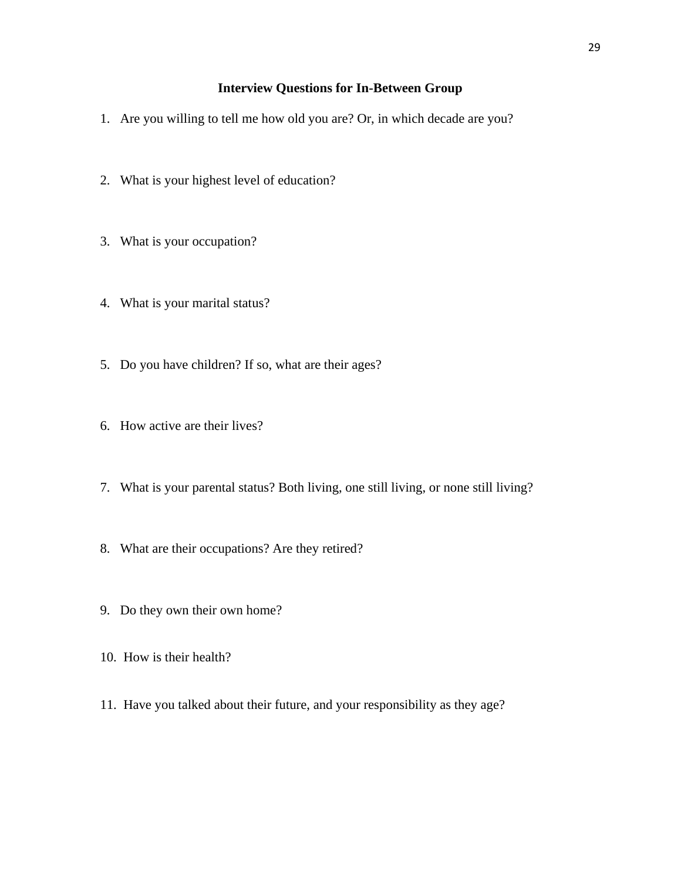## **Interview Questions for In-Between Group**

- 1. Are you willing to tell me how old you are? Or, in which decade are you?
- 2. What is your highest level of education?
- 3. What is your occupation?
- 4. What is your marital status?
- 5. Do you have children? If so, what are their ages?
- 6. How active are their lives?
- 7. What is your parental status? Both living, one still living, or none still living?
- 8. What are their occupations? Are they retired?
- 9. Do they own their own home?
- 10. How is their health?
- 11. Have you talked about their future, and your responsibility as they age?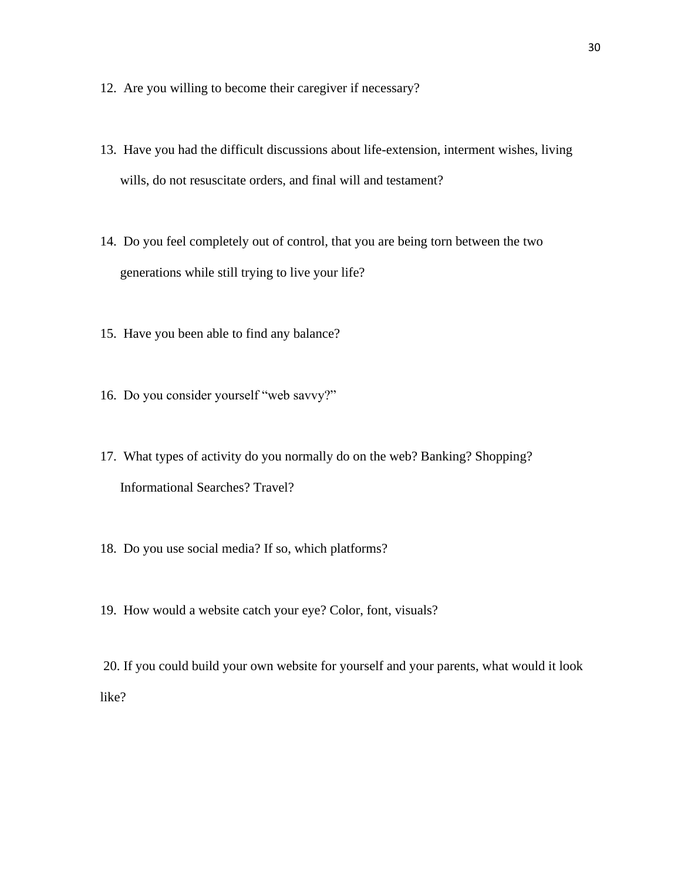- 12. Are you willing to become their caregiver if necessary?
- 13. Have you had the difficult discussions about life-extension, interment wishes, living wills, do not resuscitate orders, and final will and testament?
- 14. Do you feel completely out of control, that you are being torn between the two generations while still trying to live your life?
- 15. Have you been able to find any balance?
- 16. Do you consider yourself "web savvy?"
- 17. What types of activity do you normally do on the web? Banking? Shopping? Informational Searches? Travel?
- 18. Do you use social media? If so, which platforms?
- 19. How would a website catch your eye? Color, font, visuals?

20. If you could build your own website for yourself and your parents, what would it look like?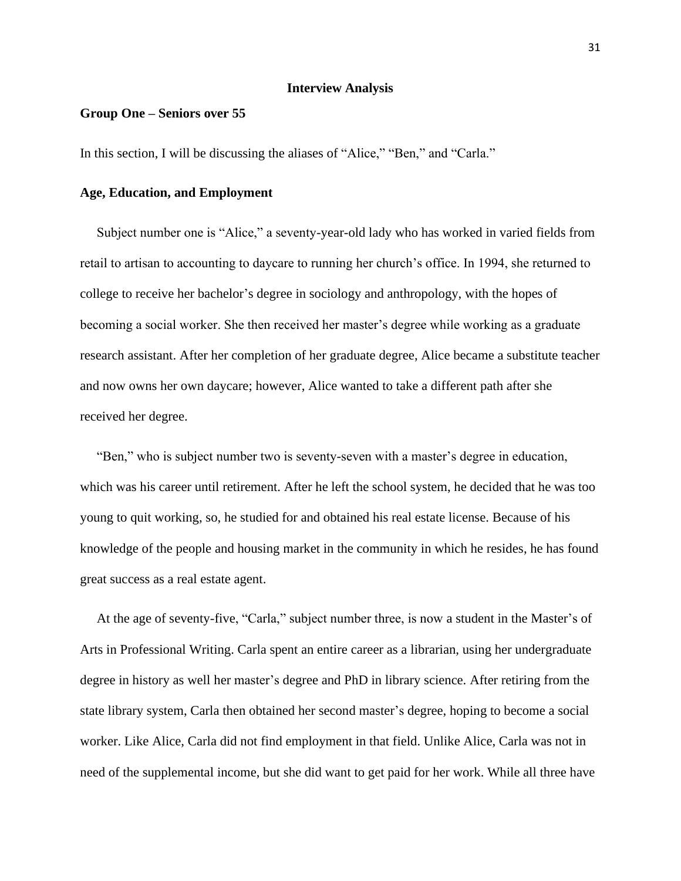#### **Interview Analysis**

## **Group One – Seniors over 55**

In this section, I will be discussing the aliases of "Alice," "Ben," and "Carla."

## **Age, Education, and Employment**

 Subject number one is "Alice," a seventy-year-old lady who has worked in varied fields from retail to artisan to accounting to daycare to running her church's office. In 1994, she returned to college to receive her bachelor's degree in sociology and anthropology, with the hopes of becoming a social worker. She then received her master's degree while working as a graduate research assistant. After her completion of her graduate degree, Alice became a substitute teacher and now owns her own daycare; however, Alice wanted to take a different path after she received her degree.

 "Ben," who is subject number two is seventy-seven with a master's degree in education, which was his career until retirement. After he left the school system, he decided that he was too young to quit working, so, he studied for and obtained his real estate license. Because of his knowledge of the people and housing market in the community in which he resides, he has found great success as a real estate agent.

 At the age of seventy-five, "Carla," subject number three, is now a student in the Master's of Arts in Professional Writing. Carla spent an entire career as a librarian, using her undergraduate degree in history as well her master's degree and PhD in library science. After retiring from the state library system, Carla then obtained her second master's degree, hoping to become a social worker. Like Alice, Carla did not find employment in that field. Unlike Alice, Carla was not in need of the supplemental income, but she did want to get paid for her work. While all three have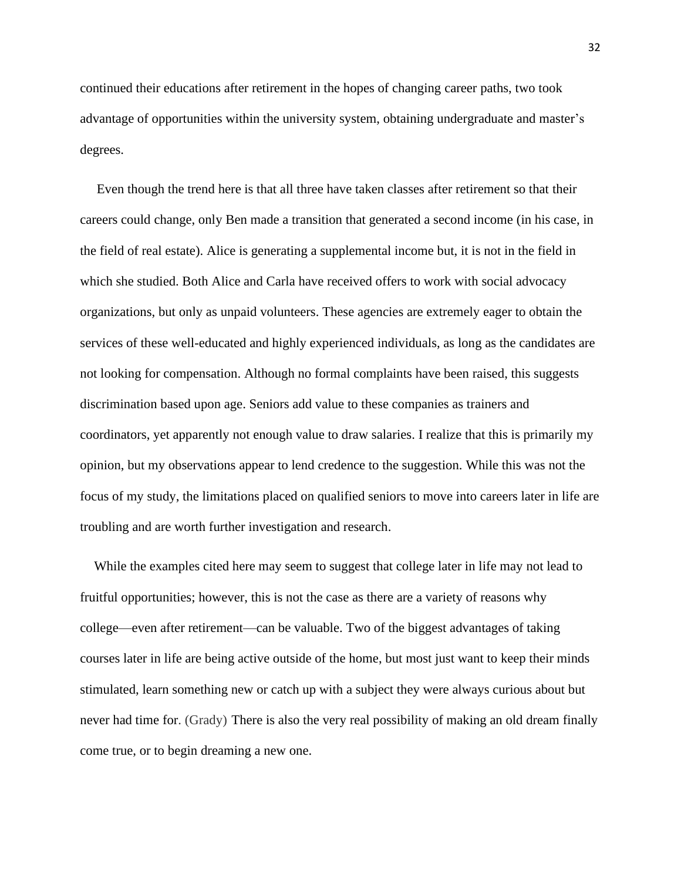continued their educations after retirement in the hopes of changing career paths, two took advantage of opportunities within the university system, obtaining undergraduate and master's degrees.

 Even though the trend here is that all three have taken classes after retirement so that their careers could change, only Ben made a transition that generated a second income (in his case, in the field of real estate). Alice is generating a supplemental income but, it is not in the field in which she studied. Both Alice and Carla have received offers to work with social advocacy organizations, but only as unpaid volunteers. These agencies are extremely eager to obtain the services of these well-educated and highly experienced individuals, as long as the candidates are not looking for compensation. Although no formal complaints have been raised, this suggests discrimination based upon age. Seniors add value to these companies as trainers and coordinators, yet apparently not enough value to draw salaries. I realize that this is primarily my opinion, but my observations appear to lend credence to the suggestion. While this was not the focus of my study, the limitations placed on qualified seniors to move into careers later in life are troubling and are worth further investigation and research.

 While the examples cited here may seem to suggest that college later in life may not lead to fruitful opportunities; however, this is not the case as there are a variety of reasons why college—even after retirement—can be valuable. Two of the biggest advantages of taking courses later in life are being active outside of the home, but most just want to keep their minds stimulated, learn something new or catch up with a subject they were always curious about but never had time for. (Grady) There is also the very real possibility of making an old dream finally come true, or to begin dreaming a new one.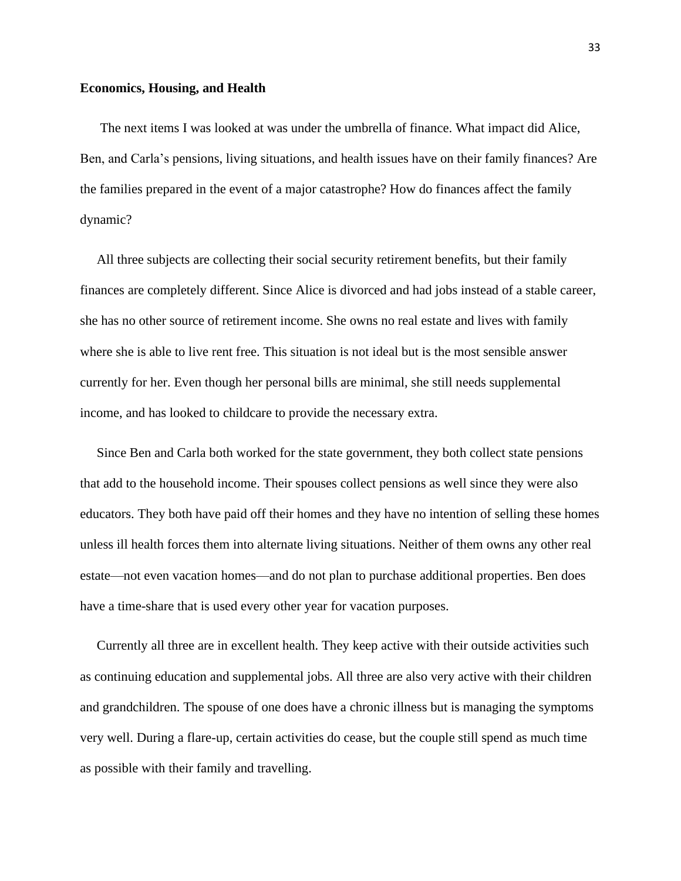#### **Economics, Housing, and Health**

 The next items I was looked at was under the umbrella of finance. What impact did Alice, Ben, and Carla's pensions, living situations, and health issues have on their family finances? Are the families prepared in the event of a major catastrophe? How do finances affect the family dynamic?

 All three subjects are collecting their social security retirement benefits, but their family finances are completely different. Since Alice is divorced and had jobs instead of a stable career, she has no other source of retirement income. She owns no real estate and lives with family where she is able to live rent free. This situation is not ideal but is the most sensible answer currently for her. Even though her personal bills are minimal, she still needs supplemental income, and has looked to childcare to provide the necessary extra.

 Since Ben and Carla both worked for the state government, they both collect state pensions that add to the household income. Their spouses collect pensions as well since they were also educators. They both have paid off their homes and they have no intention of selling these homes unless ill health forces them into alternate living situations. Neither of them owns any other real estate—not even vacation homes—and do not plan to purchase additional properties. Ben does have a time-share that is used every other year for vacation purposes.

 Currently all three are in excellent health. They keep active with their outside activities such as continuing education and supplemental jobs. All three are also very active with their children and grandchildren. The spouse of one does have a chronic illness but is managing the symptoms very well. During a flare-up, certain activities do cease, but the couple still spend as much time as possible with their family and travelling.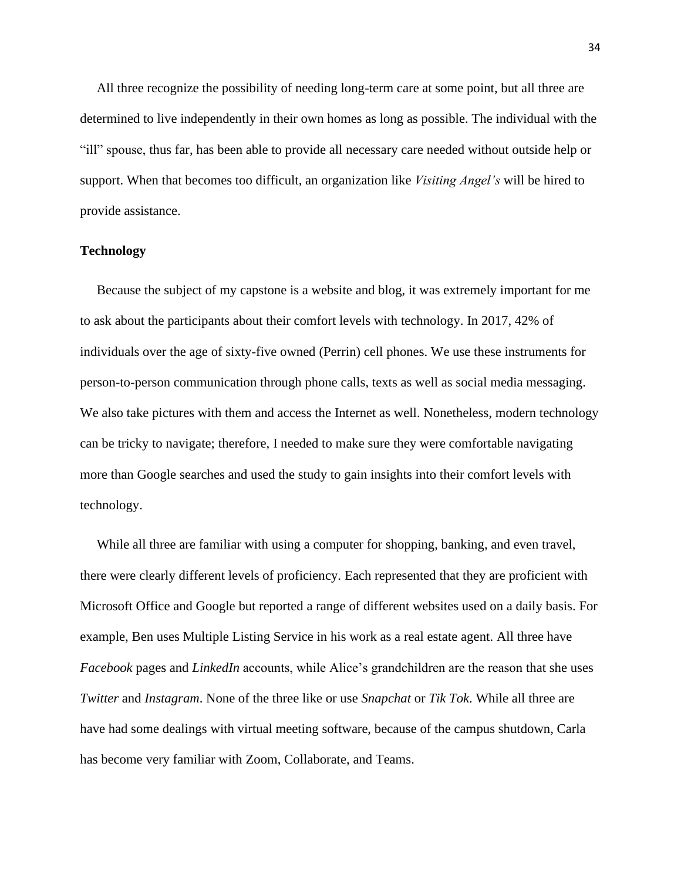All three recognize the possibility of needing long-term care at some point, but all three are determined to live independently in their own homes as long as possible. The individual with the "ill" spouse, thus far, has been able to provide all necessary care needed without outside help or support. When that becomes too difficult, an organization like *Visiting Angel's* will be hired to provide assistance.

## **Technology**

 Because the subject of my capstone is a website and blog, it was extremely important for me to ask about the participants about their comfort levels with technology. In 2017, 42% of individuals over the age of sixty-five owned (Perrin) cell phones. We use these instruments for person-to-person communication through phone calls, texts as well as social media messaging. We also take pictures with them and access the Internet as well. Nonetheless, modern technology can be tricky to navigate; therefore, I needed to make sure they were comfortable navigating more than Google searches and used the study to gain insights into their comfort levels with technology.

 While all three are familiar with using a computer for shopping, banking, and even travel, there were clearly different levels of proficiency. Each represented that they are proficient with Microsoft Office and Google but reported a range of different websites used on a daily basis. For example, Ben uses Multiple Listing Service in his work as a real estate agent. All three have *Facebook* pages and *LinkedIn* accounts, while Alice's grandchildren are the reason that she uses *Twitter* and *Instagram*. None of the three like or use *Snapchat* or *Tik Tok*. While all three are have had some dealings with virtual meeting software, because of the campus shutdown, Carla has become very familiar with Zoom, Collaborate, and Teams.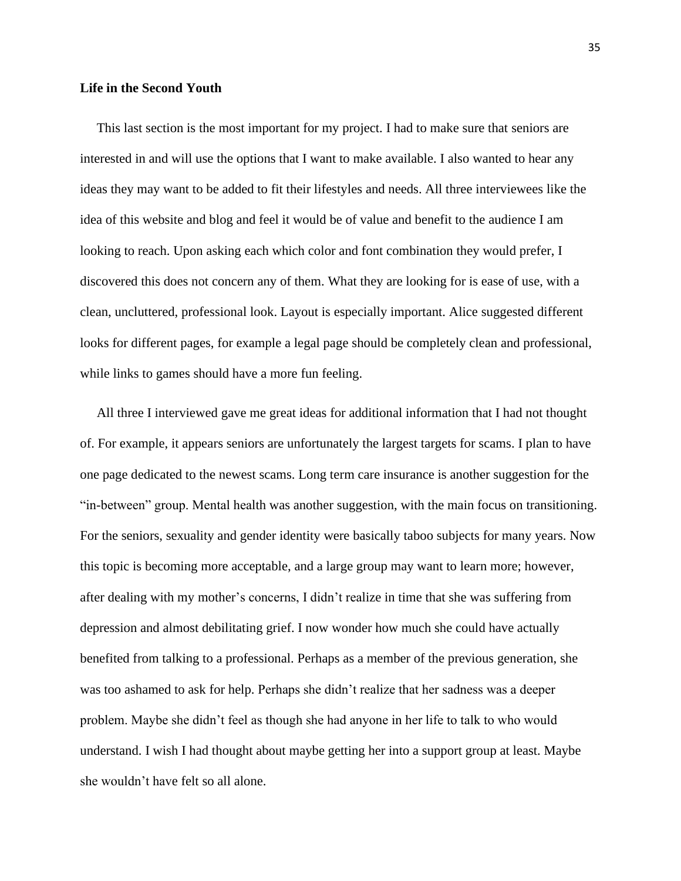## **Life in the Second Youth**

 This last section is the most important for my project. I had to make sure that seniors are interested in and will use the options that I want to make available. I also wanted to hear any ideas they may want to be added to fit their lifestyles and needs. All three interviewees like the idea of this website and blog and feel it would be of value and benefit to the audience I am looking to reach. Upon asking each which color and font combination they would prefer, I discovered this does not concern any of them. What they are looking for is ease of use, with a clean, uncluttered, professional look. Layout is especially important. Alice suggested different looks for different pages, for example a legal page should be completely clean and professional, while links to games should have a more fun feeling.

 All three I interviewed gave me great ideas for additional information that I had not thought of. For example, it appears seniors are unfortunately the largest targets for scams. I plan to have one page dedicated to the newest scams. Long term care insurance is another suggestion for the "in-between" group. Mental health was another suggestion, with the main focus on transitioning. For the seniors, sexuality and gender identity were basically taboo subjects for many years. Now this topic is becoming more acceptable, and a large group may want to learn more; however, after dealing with my mother's concerns, I didn't realize in time that she was suffering from depression and almost debilitating grief. I now wonder how much she could have actually benefited from talking to a professional. Perhaps as a member of the previous generation, she was too ashamed to ask for help. Perhaps she didn't realize that her sadness was a deeper problem. Maybe she didn't feel as though she had anyone in her life to talk to who would understand. I wish I had thought about maybe getting her into a support group at least. Maybe she wouldn't have felt so all alone.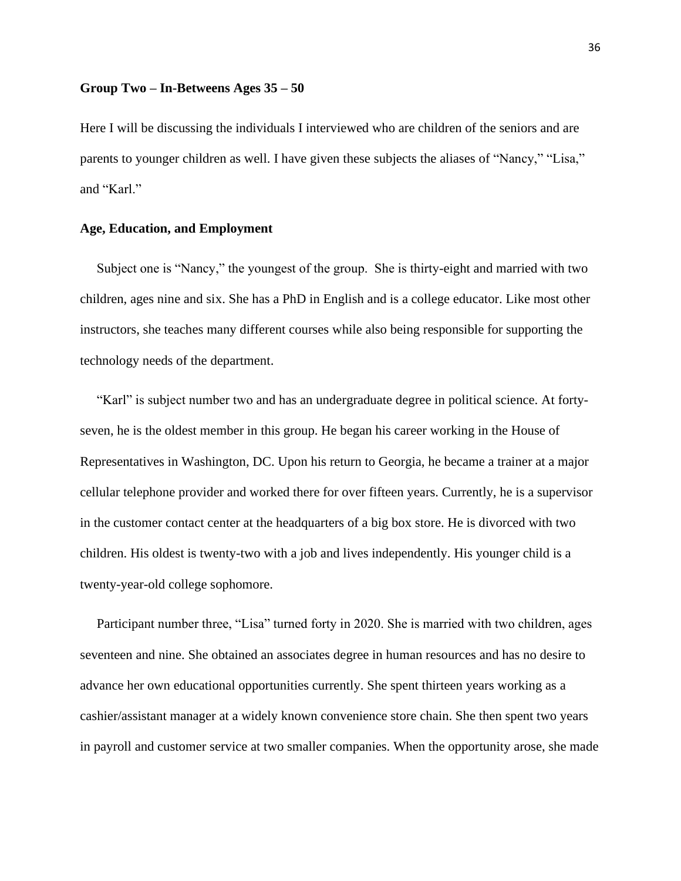#### **Group Two – In-Betweens Ages 35 – 50**

Here I will be discussing the individuals I interviewed who are children of the seniors and are parents to younger children as well. I have given these subjects the aliases of "Nancy," "Lisa," and "Karl."

## **Age, Education, and Employment**

Subject one is "Nancy," the youngest of the group. She is thirty-eight and married with two children, ages nine and six. She has a PhD in English and is a college educator. Like most other instructors, she teaches many different courses while also being responsible for supporting the technology needs of the department.

 "Karl" is subject number two and has an undergraduate degree in political science. At fortyseven, he is the oldest member in this group. He began his career working in the House of Representatives in Washington, DC. Upon his return to Georgia, he became a trainer at a major cellular telephone provider and worked there for over fifteen years. Currently, he is a supervisor in the customer contact center at the headquarters of a big box store. He is divorced with two children. His oldest is twenty-two with a job and lives independently. His younger child is a twenty-year-old college sophomore.

Participant number three, "Lisa" turned forty in 2020. She is married with two children, ages seventeen and nine. She obtained an associates degree in human resources and has no desire to advance her own educational opportunities currently. She spent thirteen years working as a cashier/assistant manager at a widely known convenience store chain. She then spent two years in payroll and customer service at two smaller companies. When the opportunity arose, she made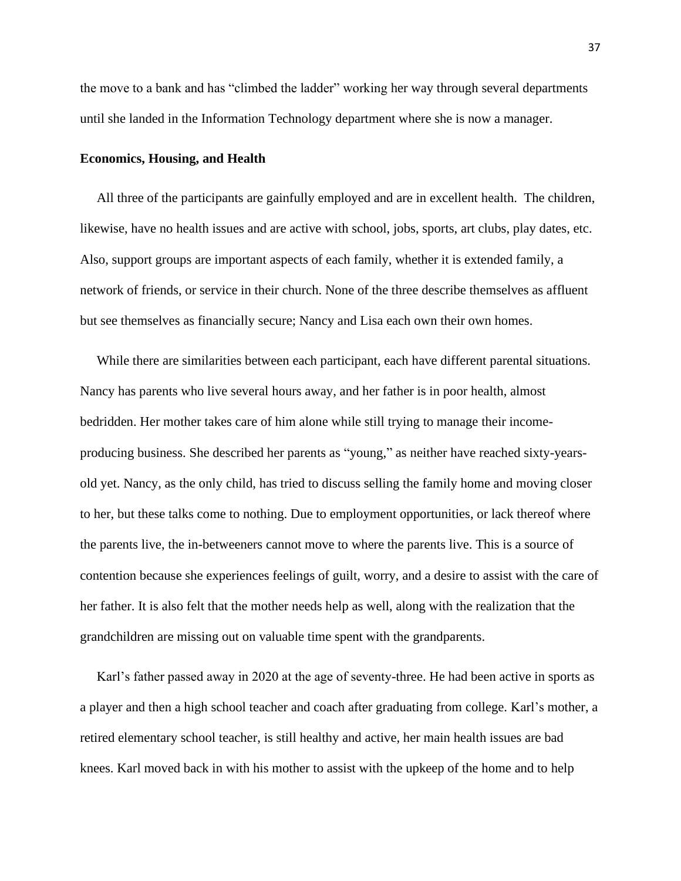the move to a bank and has "climbed the ladder" working her way through several departments until she landed in the Information Technology department where she is now a manager.

### **Economics, Housing, and Health**

 All three of the participants are gainfully employed and are in excellent health. The children, likewise, have no health issues and are active with school, jobs, sports, art clubs, play dates, etc. Also, support groups are important aspects of each family, whether it is extended family, a network of friends, or service in their church. None of the three describe themselves as affluent but see themselves as financially secure; Nancy and Lisa each own their own homes.

 While there are similarities between each participant, each have different parental situations. Nancy has parents who live several hours away, and her father is in poor health, almost bedridden. Her mother takes care of him alone while still trying to manage their incomeproducing business. She described her parents as "young," as neither have reached sixty-yearsold yet. Nancy, as the only child, has tried to discuss selling the family home and moving closer to her, but these talks come to nothing. Due to employment opportunities, or lack thereof where the parents live, the in-betweeners cannot move to where the parents live. This is a source of contention because she experiences feelings of guilt, worry, and a desire to assist with the care of her father. It is also felt that the mother needs help as well, along with the realization that the grandchildren are missing out on valuable time spent with the grandparents.

 Karl's father passed away in 2020 at the age of seventy-three. He had been active in sports as a player and then a high school teacher and coach after graduating from college. Karl's mother, a retired elementary school teacher, is still healthy and active, her main health issues are bad knees. Karl moved back in with his mother to assist with the upkeep of the home and to help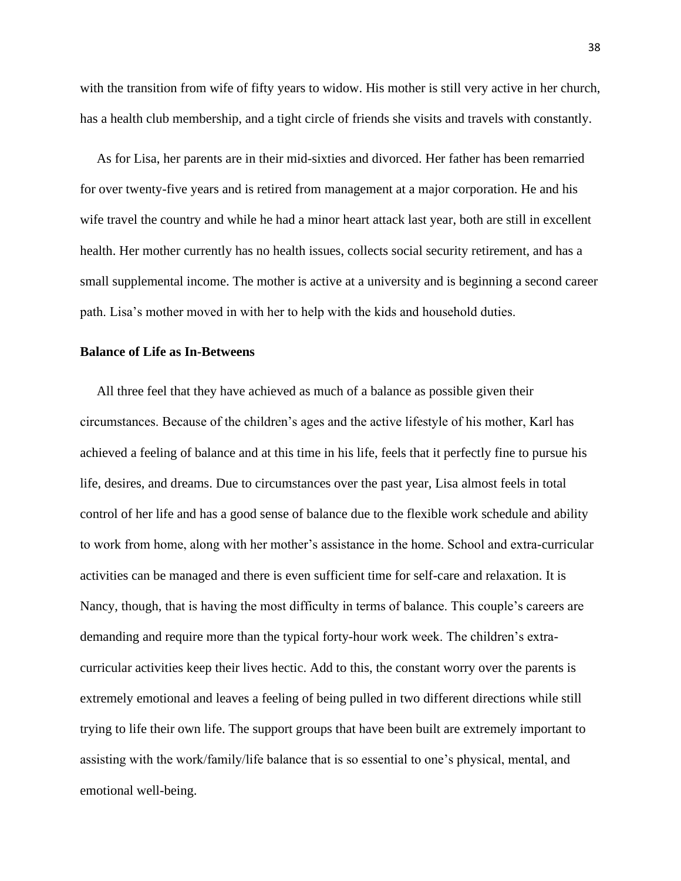with the transition from wife of fifty years to widow. His mother is still very active in her church, has a health club membership, and a tight circle of friends she visits and travels with constantly.

 As for Lisa, her parents are in their mid-sixties and divorced. Her father has been remarried for over twenty-five years and is retired from management at a major corporation. He and his wife travel the country and while he had a minor heart attack last year, both are still in excellent health. Her mother currently has no health issues, collects social security retirement, and has a small supplemental income. The mother is active at a university and is beginning a second career path. Lisa's mother moved in with her to help with the kids and household duties.

### **Balance of Life as In-Betweens**

All three feel that they have achieved as much of a balance as possible given their circumstances. Because of the children's ages and the active lifestyle of his mother, Karl has achieved a feeling of balance and at this time in his life, feels that it perfectly fine to pursue his life, desires, and dreams. Due to circumstances over the past year, Lisa almost feels in total control of her life and has a good sense of balance due to the flexible work schedule and ability to work from home, along with her mother's assistance in the home. School and extra-curricular activities can be managed and there is even sufficient time for self-care and relaxation. It is Nancy, though, that is having the most difficulty in terms of balance. This couple's careers are demanding and require more than the typical forty-hour work week. The children's extracurricular activities keep their lives hectic. Add to this, the constant worry over the parents is extremely emotional and leaves a feeling of being pulled in two different directions while still trying to life their own life. The support groups that have been built are extremely important to assisting with the work/family/life balance that is so essential to one's physical, mental, and emotional well-being.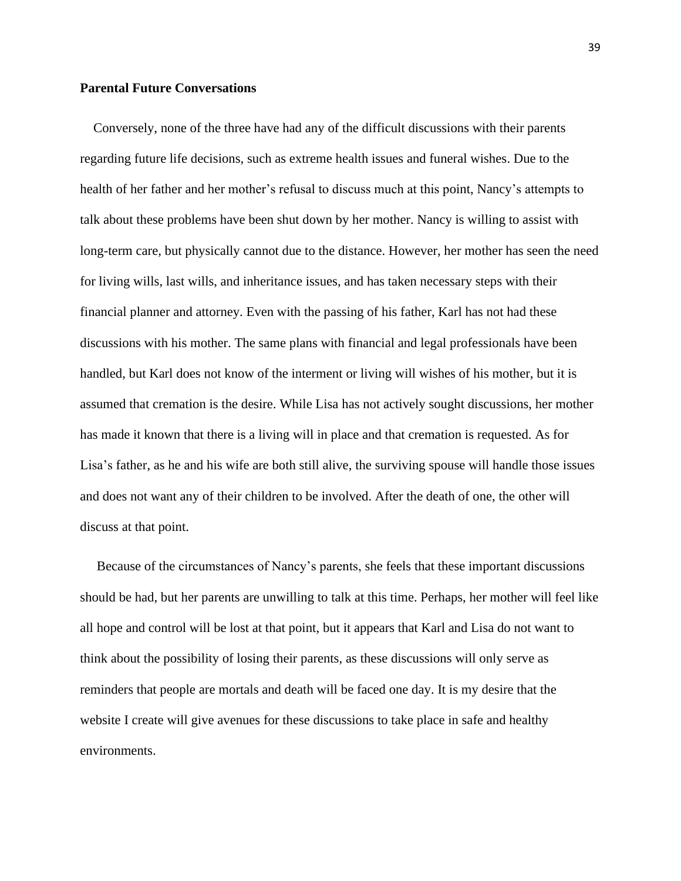## **Parental Future Conversations**

Conversely, none of the three have had any of the difficult discussions with their parents regarding future life decisions, such as extreme health issues and funeral wishes. Due to the health of her father and her mother's refusal to discuss much at this point, Nancy's attempts to talk about these problems have been shut down by her mother. Nancy is willing to assist with long-term care, but physically cannot due to the distance. However, her mother has seen the need for living wills, last wills, and inheritance issues, and has taken necessary steps with their financial planner and attorney. Even with the passing of his father, Karl has not had these discussions with his mother. The same plans with financial and legal professionals have been handled, but Karl does not know of the interment or living will wishes of his mother, but it is assumed that cremation is the desire. While Lisa has not actively sought discussions, her mother has made it known that there is a living will in place and that cremation is requested. As for Lisa's father, as he and his wife are both still alive, the surviving spouse will handle those issues and does not want any of their children to be involved. After the death of one, the other will discuss at that point.

 Because of the circumstances of Nancy's parents, she feels that these important discussions should be had, but her parents are unwilling to talk at this time. Perhaps, her mother will feel like all hope and control will be lost at that point, but it appears that Karl and Lisa do not want to think about the possibility of losing their parents, as these discussions will only serve as reminders that people are mortals and death will be faced one day. It is my desire that the website I create will give avenues for these discussions to take place in safe and healthy environments.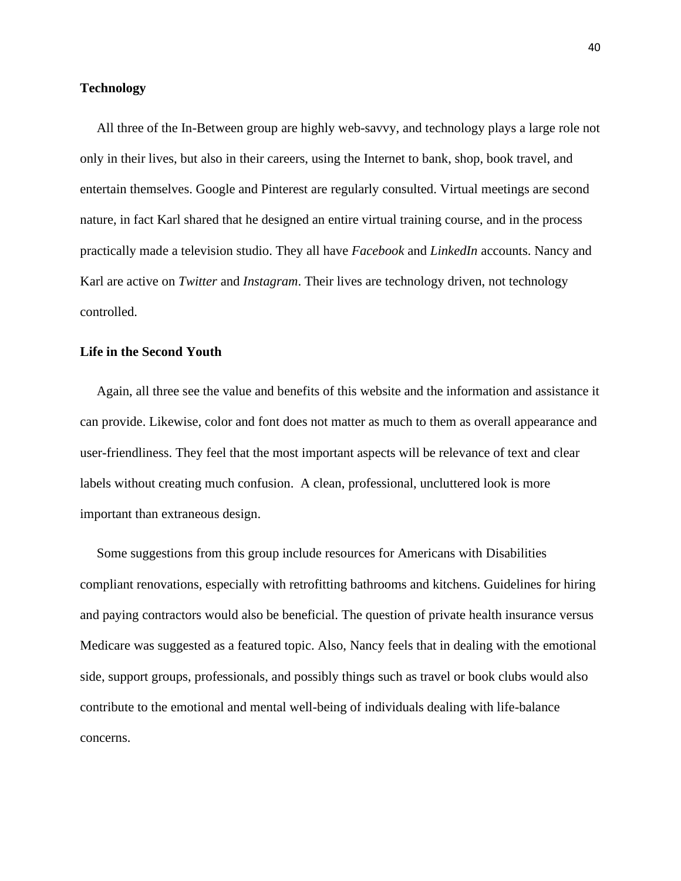## **Technology**

All three of the In-Between group are highly web-savvy, and technology plays a large role not only in their lives, but also in their careers, using the Internet to bank, shop, book travel, and entertain themselves. Google and Pinterest are regularly consulted. Virtual meetings are second nature, in fact Karl shared that he designed an entire virtual training course, and in the process practically made a television studio. They all have *Facebook* and *LinkedIn* accounts. Nancy and Karl are active on *Twitter* and *Instagram*. Their lives are technology driven, not technology controlled.

## **Life in the Second Youth**

 Again, all three see the value and benefits of this website and the information and assistance it can provide. Likewise, color and font does not matter as much to them as overall appearance and user-friendliness. They feel that the most important aspects will be relevance of text and clear labels without creating much confusion. A clean, professional, uncluttered look is more important than extraneous design.

 Some suggestions from this group include resources for Americans with Disabilities compliant renovations, especially with retrofitting bathrooms and kitchens. Guidelines for hiring and paying contractors would also be beneficial. The question of private health insurance versus Medicare was suggested as a featured topic. Also, Nancy feels that in dealing with the emotional side, support groups, professionals, and possibly things such as travel or book clubs would also contribute to the emotional and mental well-being of individuals dealing with life-balance concerns.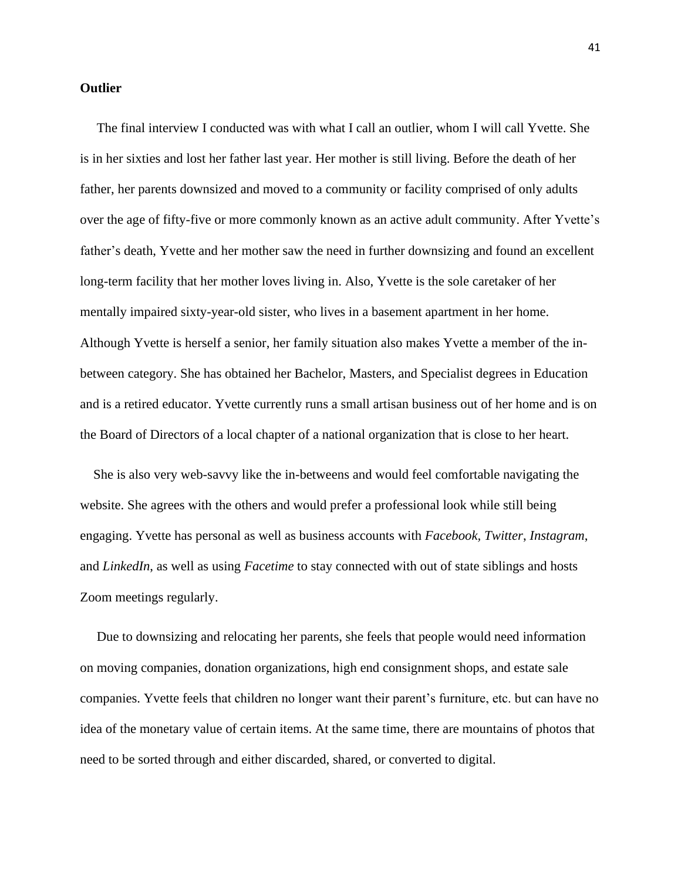#### **Outlier**

 The final interview I conducted was with what I call an outlier, whom I will call Yvette. She is in her sixties and lost her father last year. Her mother is still living. Before the death of her father, her parents downsized and moved to a community or facility comprised of only adults over the age of fifty-five or more commonly known as an active adult community. After Yvette's father's death, Yvette and her mother saw the need in further downsizing and found an excellent long-term facility that her mother loves living in. Also, Yvette is the sole caretaker of her mentally impaired sixty-year-old sister, who lives in a basement apartment in her home. Although Yvette is herself a senior, her family situation also makes Yvette a member of the inbetween category. She has obtained her Bachelor, Masters, and Specialist degrees in Education and is a retired educator. Yvette currently runs a small artisan business out of her home and is on the Board of Directors of a local chapter of a national organization that is close to her heart.

 She is also very web-savvy like the in-betweens and would feel comfortable navigating the website. She agrees with the others and would prefer a professional look while still being engaging. Yvette has personal as well as business accounts with *Facebook, Twitter*, *Instagram*, and *LinkedIn*, as well as using *Facetime* to stay connected with out of state siblings and hosts Zoom meetings regularly.

 Due to downsizing and relocating her parents, she feels that people would need information on moving companies, donation organizations, high end consignment shops, and estate sale companies. Yvette feels that children no longer want their parent's furniture, etc. but can have no idea of the monetary value of certain items. At the same time, there are mountains of photos that need to be sorted through and either discarded, shared, or converted to digital.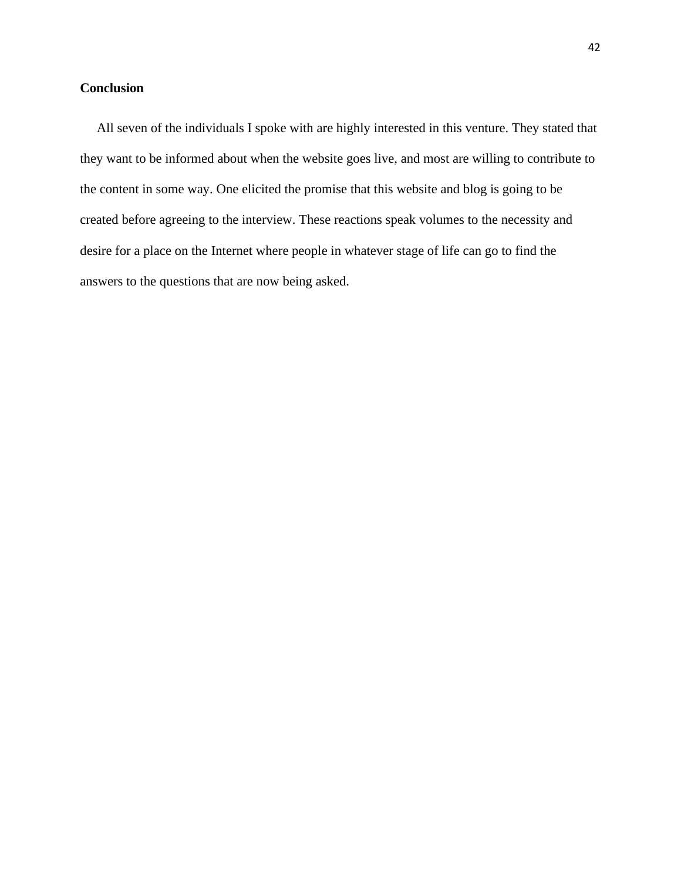## **Conclusion**

 All seven of the individuals I spoke with are highly interested in this venture. They stated that they want to be informed about when the website goes live, and most are willing to contribute to the content in some way. One elicited the promise that this website and blog is going to be created before agreeing to the interview. These reactions speak volumes to the necessity and desire for a place on the Internet where people in whatever stage of life can go to find the answers to the questions that are now being asked.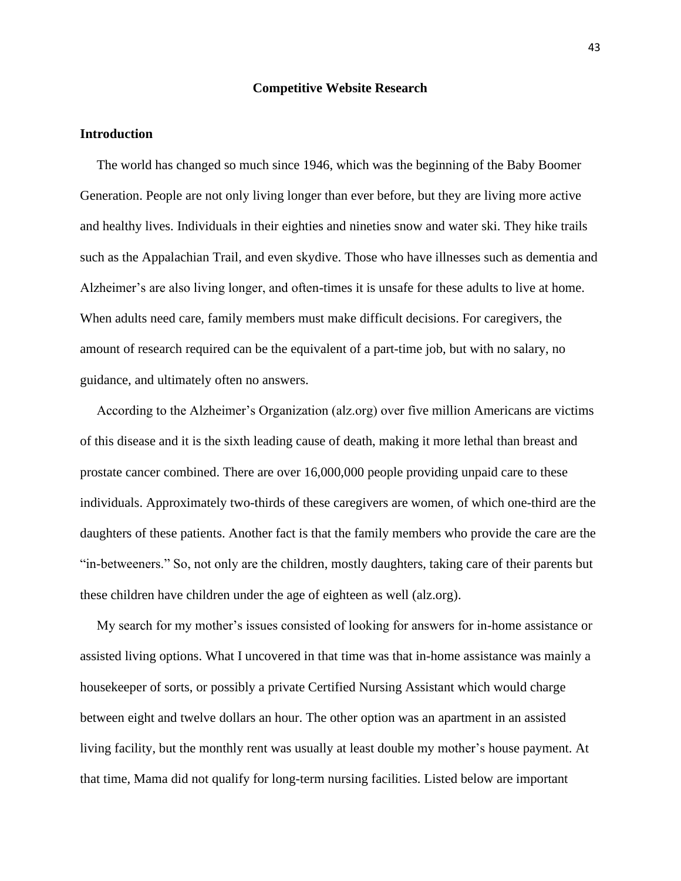#### **Competitive Website Research**

## **Introduction**

 The world has changed so much since 1946, which was the beginning of the Baby Boomer Generation. People are not only living longer than ever before, but they are living more active and healthy lives. Individuals in their eighties and nineties snow and water ski. They hike trails such as the Appalachian Trail, and even skydive. Those who have illnesses such as dementia and Alzheimer's are also living longer, and often-times it is unsafe for these adults to live at home. When adults need care, family members must make difficult decisions. For caregivers, the amount of research required can be the equivalent of a part-time job, but with no salary, no guidance, and ultimately often no answers.

 According to the Alzheimer's Organization (alz.org) over five million Americans are victims of this disease and it is the sixth leading cause of death, making it more lethal than breast and prostate cancer combined. There are over 16,000,000 people providing unpaid care to these individuals. Approximately two-thirds of these caregivers are women, of which one-third are the daughters of these patients. Another fact is that the family members who provide the care are the "in-betweeners." So, not only are the children, mostly daughters, taking care of their parents but these children have children under the age of eighteen as well (alz.org).

 My search for my mother's issues consisted of looking for answers for in-home assistance or assisted living options. What I uncovered in that time was that in-home assistance was mainly a housekeeper of sorts, or possibly a private Certified Nursing Assistant which would charge between eight and twelve dollars an hour. The other option was an apartment in an assisted living facility, but the monthly rent was usually at least double my mother's house payment. At that time, Mama did not qualify for long-term nursing facilities. Listed below are important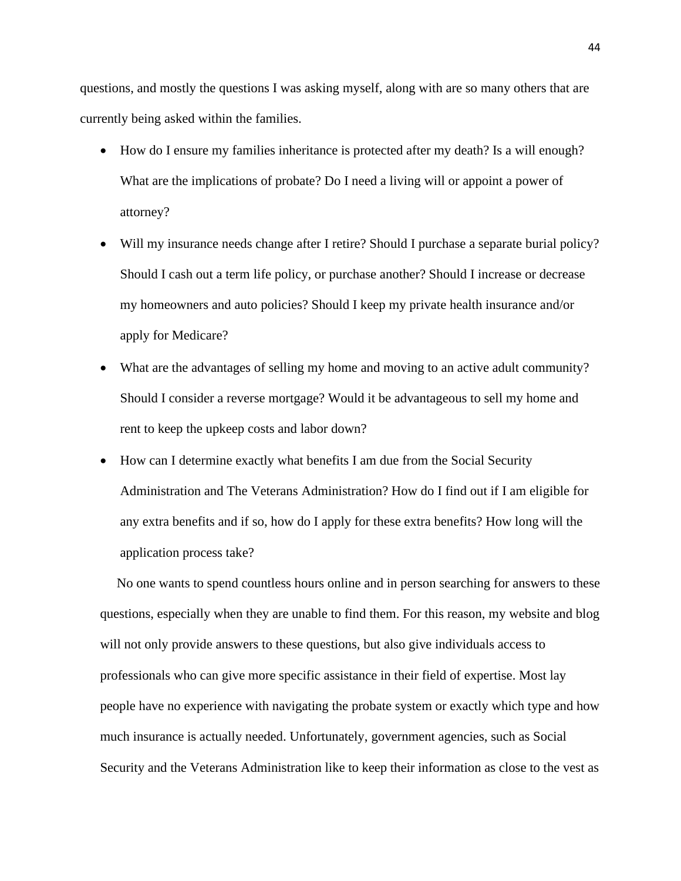questions, and mostly the questions I was asking myself, along with are so many others that are currently being asked within the families.

- How do I ensure my families inheritance is protected after my death? Is a will enough? What are the implications of probate? Do I need a living will or appoint a power of attorney?
- Will my insurance needs change after I retire? Should I purchase a separate burial policy? Should I cash out a term life policy, or purchase another? Should I increase or decrease my homeowners and auto policies? Should I keep my private health insurance and/or apply for Medicare?
- What are the advantages of selling my home and moving to an active adult community? Should I consider a reverse mortgage? Would it be advantageous to sell my home and rent to keep the upkeep costs and labor down?
- How can I determine exactly what benefits I am due from the Social Security Administration and The Veterans Administration? How do I find out if I am eligible for any extra benefits and if so, how do I apply for these extra benefits? How long will the application process take?

 No one wants to spend countless hours online and in person searching for answers to these questions, especially when they are unable to find them. For this reason, my website and blog will not only provide answers to these questions, but also give individuals access to professionals who can give more specific assistance in their field of expertise. Most lay people have no experience with navigating the probate system or exactly which type and how much insurance is actually needed. Unfortunately, government agencies, such as Social Security and the Veterans Administration like to keep their information as close to the vest as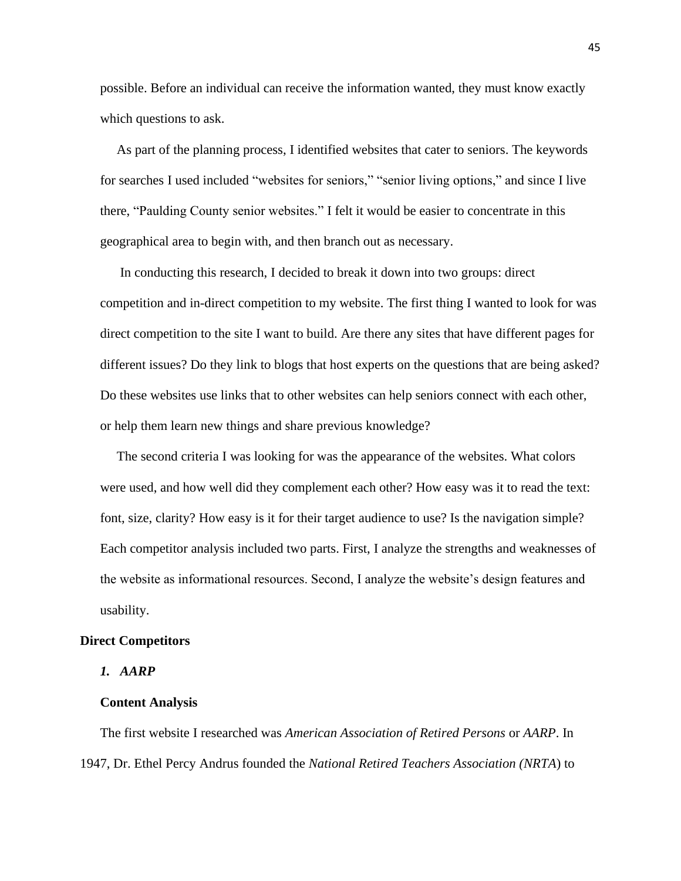possible. Before an individual can receive the information wanted, they must know exactly which questions to ask.

 As part of the planning process, I identified websites that cater to seniors. The keywords for searches I used included "websites for seniors," "senior living options," and since I live there, "Paulding County senior websites." I felt it would be easier to concentrate in this geographical area to begin with, and then branch out as necessary.

 In conducting this research, I decided to break it down into two groups: direct competition and in-direct competition to my website. The first thing I wanted to look for was direct competition to the site I want to build. Are there any sites that have different pages for different issues? Do they link to blogs that host experts on the questions that are being asked? Do these websites use links that to other websites can help seniors connect with each other, or help them learn new things and share previous knowledge?

 The second criteria I was looking for was the appearance of the websites. What colors were used, and how well did they complement each other? How easy was it to read the text: font, size, clarity? How easy is it for their target audience to use? Is the navigation simple? Each competitor analysis included two parts. First, I analyze the strengths and weaknesses of the website as informational resources. Second, I analyze the website's design features and usability.

#### **Direct Competitors**

#### *1. AARP*

#### **Content Analysis**

 The first website I researched was *American Association of Retired Persons* or *AARP*. In 1947, Dr. Ethel Percy Andrus founded the *National Retired Teachers Association (NRTA*) to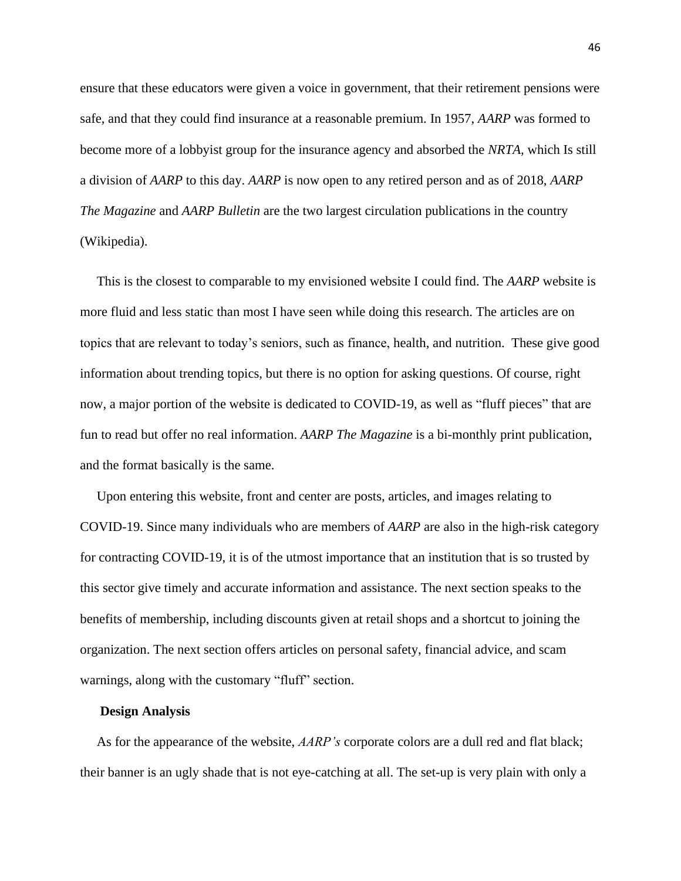ensure that these educators were given a voice in government, that their retirement pensions were safe, and that they could find insurance at a reasonable premium. In 1957, *AARP* was formed to become more of a lobbyist group for the insurance agency and absorbed the *NRTA,* which Is still a division of *AARP* to this day. *AARP* is now open to any retired person and as of 2018, *AARP The Magazine* and *AARP Bulletin* are the two largest circulation publications in the country (Wikipedia).

 This is the closest to comparable to my envisioned website I could find. The *AARP* website is more fluid and less static than most I have seen while doing this research. The articles are on topics that are relevant to today's seniors, such as finance, health, and nutrition. These give good information about trending topics, but there is no option for asking questions. Of course, right now, a major portion of the website is dedicated to COVID-19, as well as "fluff pieces" that are fun to read but offer no real information. *AARP The Magazine* is a bi-monthly print publication, and the format basically is the same.

 Upon entering this website, front and center are posts, articles, and images relating to COVID-19. Since many individuals who are members of *AARP* are also in the high-risk category for contracting COVID-19, it is of the utmost importance that an institution that is so trusted by this sector give timely and accurate information and assistance. The next section speaks to the benefits of membership, including discounts given at retail shops and a shortcut to joining the organization. The next section offers articles on personal safety, financial advice, and scam warnings, along with the customary "fluff" section.

#### **Design Analysis**

 As for the appearance of the website, *AARP's* corporate colors are a dull red and flat black; their banner is an ugly shade that is not eye-catching at all. The set-up is very plain with only a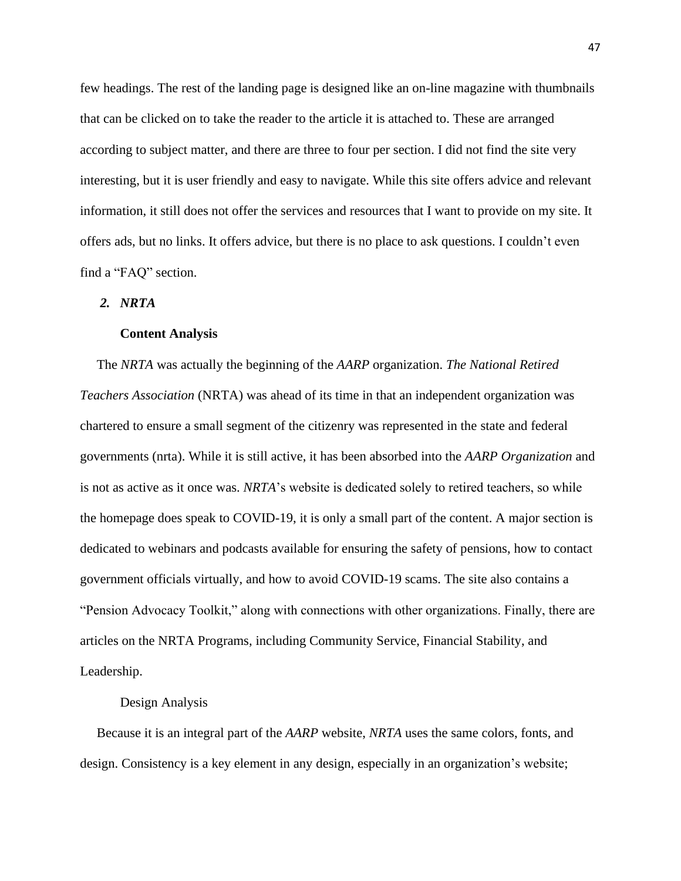few headings. The rest of the landing page is designed like an on-line magazine with thumbnails that can be clicked on to take the reader to the article it is attached to. These are arranged according to subject matter, and there are three to four per section. I did not find the site very interesting, but it is user friendly and easy to navigate. While this site offers advice and relevant information, it still does not offer the services and resources that I want to provide on my site. It offers ads, but no links. It offers advice, but there is no place to ask questions. I couldn't even find a "FAQ" section.

### *2. NRTA*

#### **Content Analysis**

The *NRTA* was actually the beginning of the *AARP* organization. *The National Retired Teachers Association* (NRTA) was ahead of its time in that an independent organization was chartered to ensure a small segment of the citizenry was represented in the state and federal governments (nrta). While it is still active, it has been absorbed into the *AARP Organization* and is not as active as it once was. *NRTA*'s website is dedicated solely to retired teachers, so while the homepage does speak to COVID-19, it is only a small part of the content. A major section is dedicated to webinars and podcasts available for ensuring the safety of pensions, how to contact government officials virtually, and how to avoid COVID-19 scams. The site also contains a "Pension Advocacy Toolkit," along with connections with other organizations. Finally, there are articles on the NRTA Programs, including Community Service, Financial Stability, and Leadership.

#### Design Analysis

 Because it is an integral part of the *AARP* website, *NRTA* uses the same colors, fonts, and design. Consistency is a key element in any design, especially in an organization's website;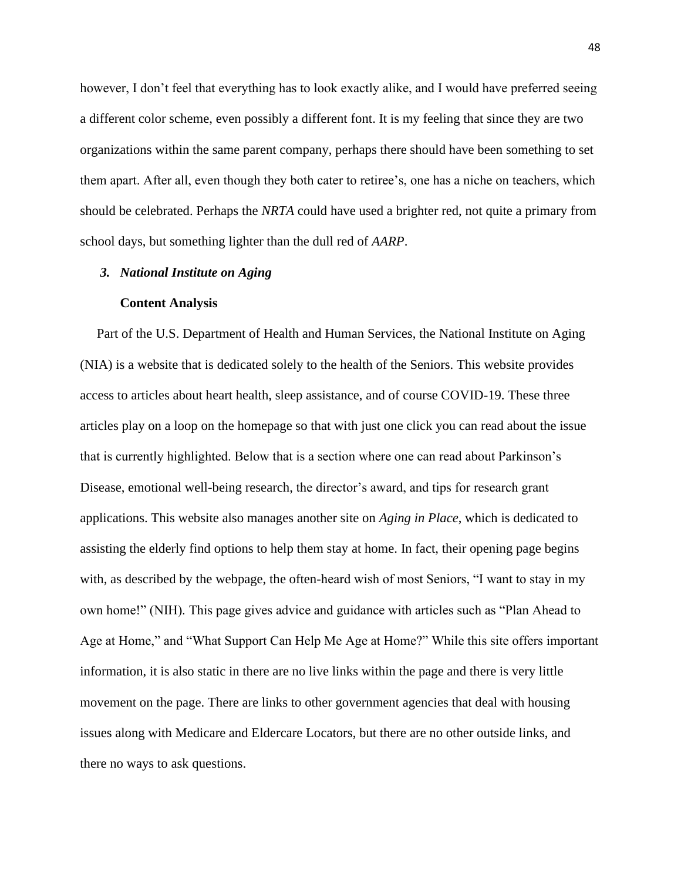however, I don't feel that everything has to look exactly alike, and I would have preferred seeing a different color scheme, even possibly a different font. It is my feeling that since they are two organizations within the same parent company, perhaps there should have been something to set them apart. After all, even though they both cater to retiree's, one has a niche on teachers, which should be celebrated. Perhaps the *NRTA* could have used a brighter red, not quite a primary from school days, but something lighter than the dull red of *AARP*.

#### *3. National Institute on Aging*

#### **Content Analysis**

 Part of the U.S. Department of Health and Human Services, the National Institute on Aging (NIA) is a website that is dedicated solely to the health of the Seniors. This website provides access to articles about heart health, sleep assistance, and of course COVID-19. These three articles play on a loop on the homepage so that with just one click you can read about the issue that is currently highlighted. Below that is a section where one can read about Parkinson's Disease, emotional well-being research, the director's award, and tips for research grant applications. This website also manages another site on *Aging in Place*, which is dedicated to assisting the elderly find options to help them stay at home. In fact, their opening page begins with, as described by the webpage, the often-heard wish of most Seniors, "I want to stay in my own home!" (NIH). This page gives advice and guidance with articles such as "Plan Ahead to Age at Home," and "What Support Can Help Me Age at Home?" While this site offers important information, it is also static in there are no live links within the page and there is very little movement on the page. There are links to other government agencies that deal with housing issues along with Medicare and Eldercare Locators, but there are no other outside links, and there no ways to ask questions.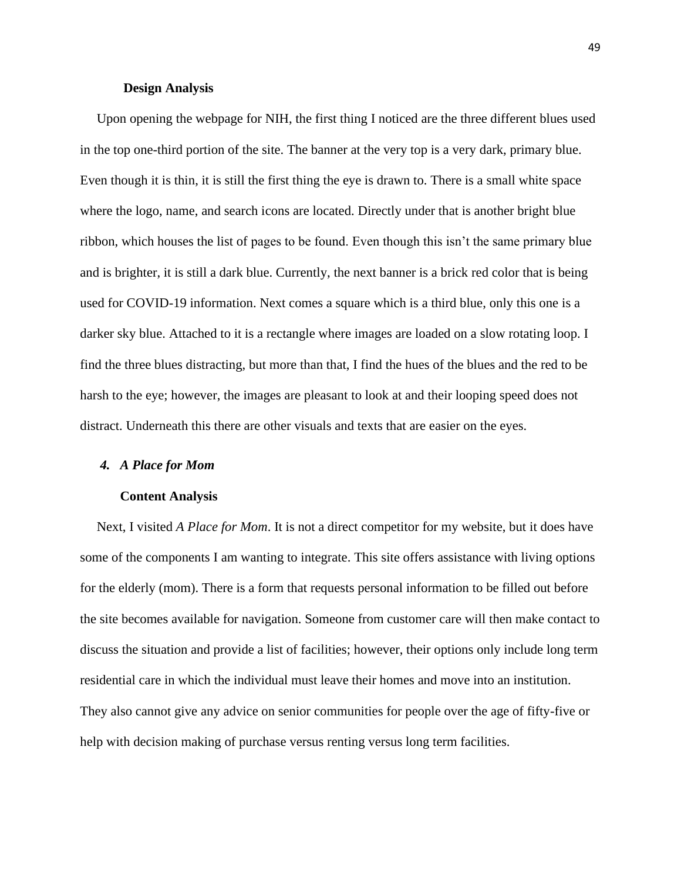#### **Design Analysis**

 Upon opening the webpage for NIH, the first thing I noticed are the three different blues used in the top one-third portion of the site. The banner at the very top is a very dark, primary blue. Even though it is thin, it is still the first thing the eye is drawn to. There is a small white space where the logo, name, and search icons are located. Directly under that is another bright blue ribbon, which houses the list of pages to be found. Even though this isn't the same primary blue and is brighter, it is still a dark blue. Currently, the next banner is a brick red color that is being used for COVID-19 information. Next comes a square which is a third blue, only this one is a darker sky blue. Attached to it is a rectangle where images are loaded on a slow rotating loop. I find the three blues distracting, but more than that, I find the hues of the blues and the red to be harsh to the eye; however, the images are pleasant to look at and their looping speed does not distract. Underneath this there are other visuals and texts that are easier on the eyes.

## *4. A Place for Mom*

## **Content Analysis**

 Next, I visited *A Place for Mom*. It is not a direct competitor for my website, but it does have some of the components I am wanting to integrate. This site offers assistance with living options for the elderly (mom). There is a form that requests personal information to be filled out before the site becomes available for navigation. Someone from customer care will then make contact to discuss the situation and provide a list of facilities; however, their options only include long term residential care in which the individual must leave their homes and move into an institution. They also cannot give any advice on senior communities for people over the age of fifty-five or help with decision making of purchase versus renting versus long term facilities.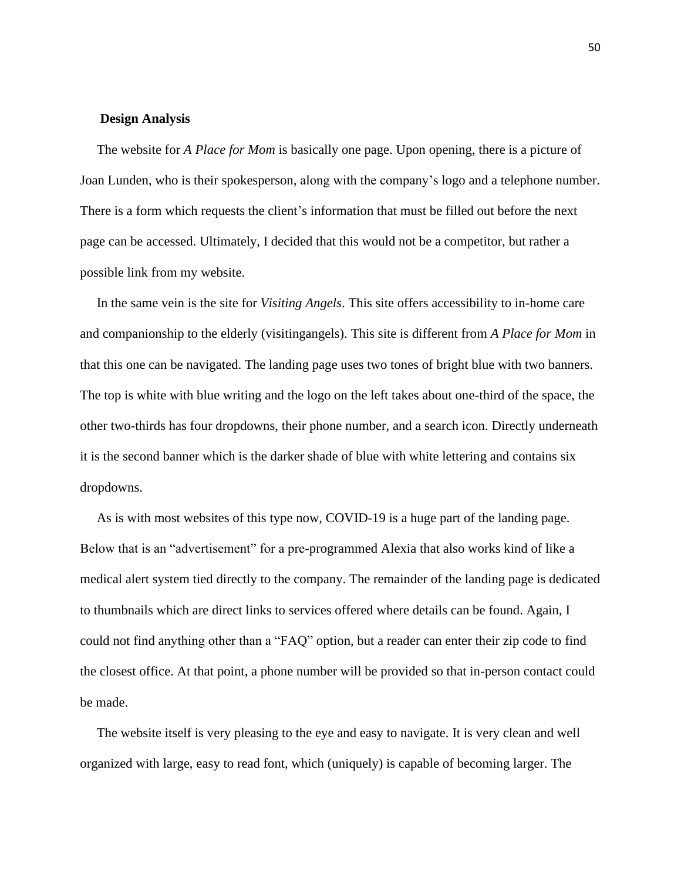## **Design Analysis**

 The website for *A Place for Mom* is basically one page. Upon opening, there is a picture of Joan Lunden, who is their spokesperson, along with the company's logo and a telephone number. There is a form which requests the client's information that must be filled out before the next page can be accessed. Ultimately, I decided that this would not be a competitor, but rather a possible link from my website.

 In the same vein is the site for *Visiting Angels*. This site offers accessibility to in-home care and companionship to the elderly (visitingangels). This site is different from *A Place for Mom* in that this one can be navigated. The landing page uses two tones of bright blue with two banners. The top is white with blue writing and the logo on the left takes about one-third of the space, the other two-thirds has four dropdowns, their phone number, and a search icon. Directly underneath it is the second banner which is the darker shade of blue with white lettering and contains six dropdowns.

 As is with most websites of this type now, COVID-19 is a huge part of the landing page. Below that is an "advertisement" for a pre-programmed Alexia that also works kind of like a medical alert system tied directly to the company. The remainder of the landing page is dedicated to thumbnails which are direct links to services offered where details can be found. Again, I could not find anything other than a "FAQ" option, but a reader can enter their zip code to find the closest office. At that point, a phone number will be provided so that in-person contact could be made.

 The website itself is very pleasing to the eye and easy to navigate. It is very clean and well organized with large, easy to read font, which (uniquely) is capable of becoming larger. The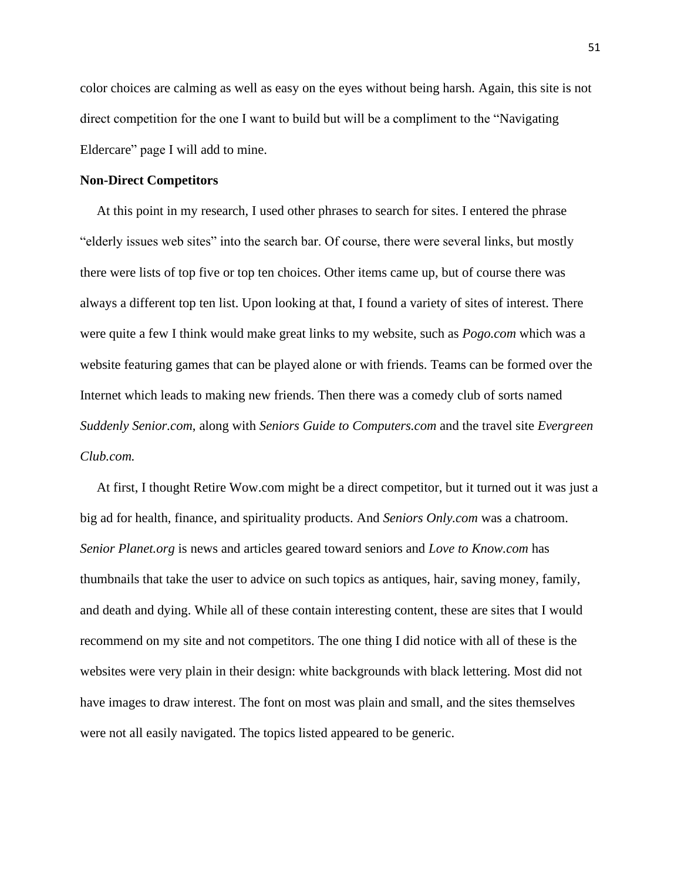color choices are calming as well as easy on the eyes without being harsh. Again, this site is not direct competition for the one I want to build but will be a compliment to the "Navigating Eldercare" page I will add to mine.

#### **Non-Direct Competitors**

 At this point in my research, I used other phrases to search for sites. I entered the phrase "elderly issues web sites" into the search bar. Of course, there were several links, but mostly there were lists of top five or top ten choices. Other items came up, but of course there was always a different top ten list. Upon looking at that, I found a variety of sites of interest. There were quite a few I think would make great links to my website, such as *Pogo.com* which was a website featuring games that can be played alone or with friends. Teams can be formed over the Internet which leads to making new friends. Then there was a comedy club of sorts named *Suddenly Senior.com*, along with *Seniors Guide to Computers.com* and the travel site *Evergreen Club.com.* 

 At first, I thought Retire Wow.com might be a direct competitor, but it turned out it was just a big ad for health, finance, and spirituality products. And *Seniors Only.com* was a chatroom. *Senior Planet.org* is news and articles geared toward seniors and *Love to Know.com* has thumbnails that take the user to advice on such topics as antiques, hair, saving money, family, and death and dying. While all of these contain interesting content, these are sites that I would recommend on my site and not competitors. The one thing I did notice with all of these is the websites were very plain in their design: white backgrounds with black lettering. Most did not have images to draw interest. The font on most was plain and small, and the sites themselves were not all easily navigated. The topics listed appeared to be generic.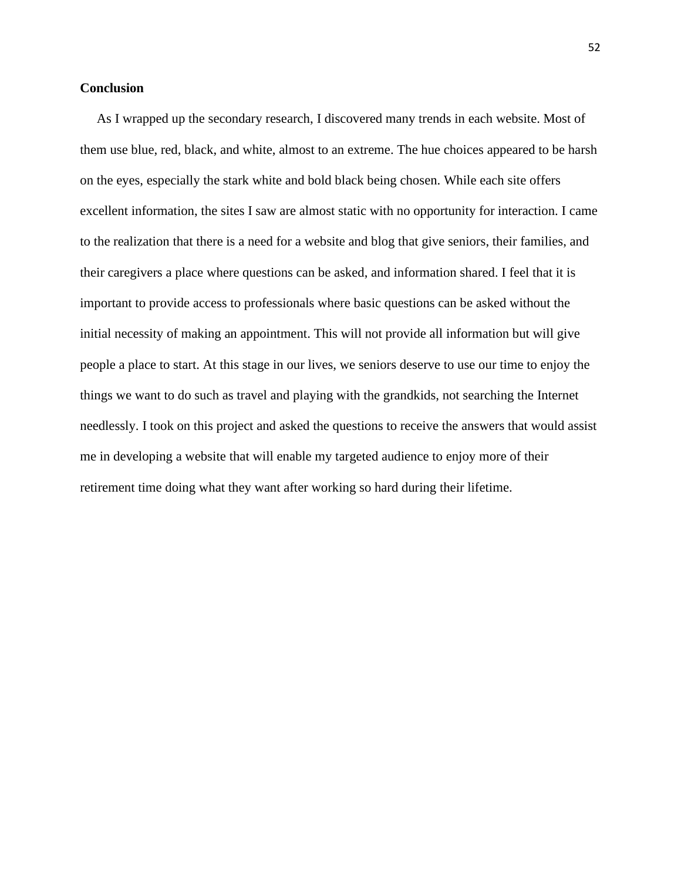## **Conclusion**

 As I wrapped up the secondary research, I discovered many trends in each website. Most of them use blue, red, black, and white, almost to an extreme. The hue choices appeared to be harsh on the eyes, especially the stark white and bold black being chosen. While each site offers excellent information, the sites I saw are almost static with no opportunity for interaction. I came to the realization that there is a need for a website and blog that give seniors, their families, and their caregivers a place where questions can be asked, and information shared. I feel that it is important to provide access to professionals where basic questions can be asked without the initial necessity of making an appointment. This will not provide all information but will give people a place to start. At this stage in our lives, we seniors deserve to use our time to enjoy the things we want to do such as travel and playing with the grandkids, not searching the Internet needlessly. I took on this project and asked the questions to receive the answers that would assist me in developing a website that will enable my targeted audience to enjoy more of their retirement time doing what they want after working so hard during their lifetime.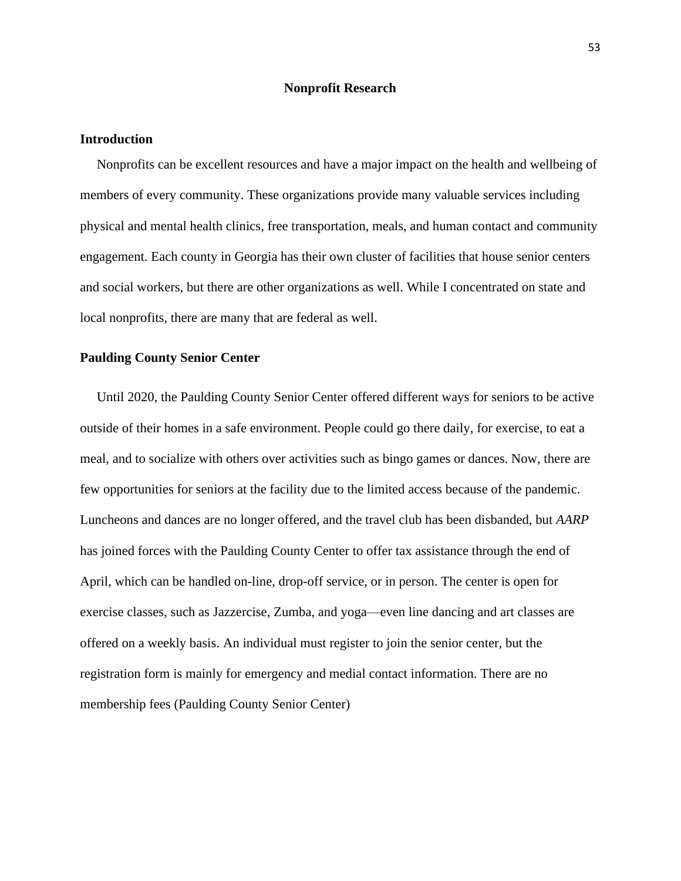### **Nonprofit Research**

#### **Introduction**

 Nonprofits can be excellent resources and have a major impact on the health and wellbeing of members of every community. These organizations provide many valuable services including physical and mental health clinics, free transportation, meals, and human contact and community engagement. Each county in Georgia has their own cluster of facilities that house senior centers and social workers, but there are other organizations as well. While I concentrated on state and local nonprofits, there are many that are federal as well.

## **Paulding County Senior Center**

 Until 2020, the Paulding County Senior Center offered different ways for seniors to be active outside of their homes in a safe environment. People could go there daily, for exercise, to eat a meal, and to socialize with others over activities such as bingo games or dances. Now, there are few opportunities for seniors at the facility due to the limited access because of the pandemic. Luncheons and dances are no longer offered, and the travel club has been disbanded, but *AARP* has joined forces with the Paulding County Center to offer tax assistance through the end of April, which can be handled on-line, drop-off service, or in person. The center is open for exercise classes, such as Jazzercise, Zumba, and yoga—even line dancing and art classes are offered on a weekly basis. An individual must register to join the senior center, but the registration form is mainly for emergency and medial contact information. There are no membership fees (Paulding County Senior Center)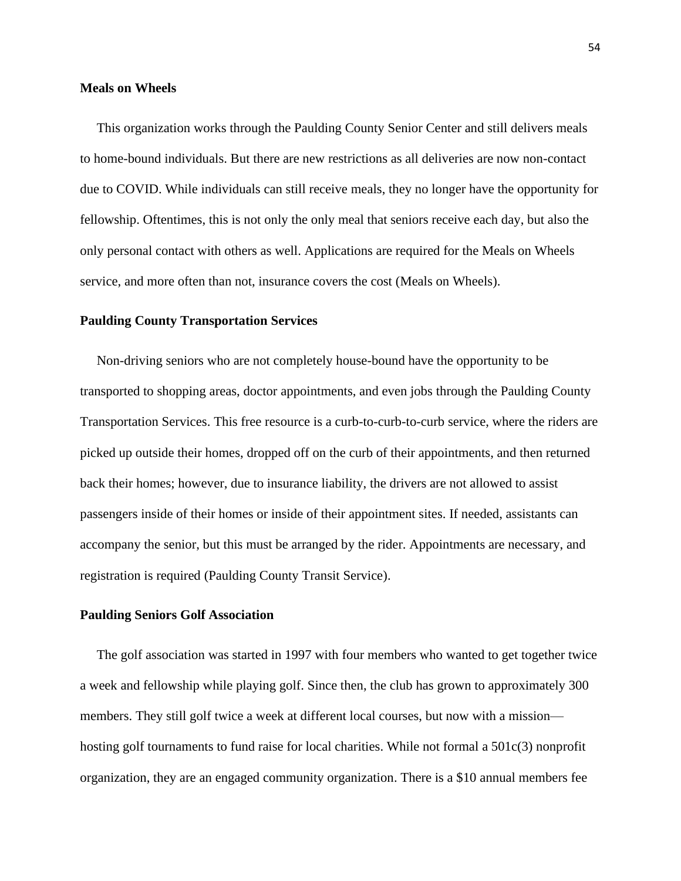#### **Meals on Wheels**

 This organization works through the Paulding County Senior Center and still delivers meals to home-bound individuals. But there are new restrictions as all deliveries are now non-contact due to COVID. While individuals can still receive meals, they no longer have the opportunity for fellowship. Oftentimes, this is not only the only meal that seniors receive each day, but also the only personal contact with others as well. Applications are required for the Meals on Wheels service, and more often than not, insurance covers the cost (Meals on Wheels).

#### **Paulding County Transportation Services**

 Non-driving seniors who are not completely house-bound have the opportunity to be transported to shopping areas, doctor appointments, and even jobs through the Paulding County Transportation Services. This free resource is a curb-to-curb-to-curb service, where the riders are picked up outside their homes, dropped off on the curb of their appointments, and then returned back their homes; however, due to insurance liability, the drivers are not allowed to assist passengers inside of their homes or inside of their appointment sites. If needed, assistants can accompany the senior, but this must be arranged by the rider. Appointments are necessary, and registration is required (Paulding County Transit Service).

#### **Paulding Seniors Golf Association**

 The golf association was started in 1997 with four members who wanted to get together twice a week and fellowship while playing golf. Since then, the club has grown to approximately 300 members. They still golf twice a week at different local courses, but now with a mission hosting golf tournaments to fund raise for local charities. While not formal a 501c(3) nonprofit organization, they are an engaged community organization. There is a \$10 annual members fee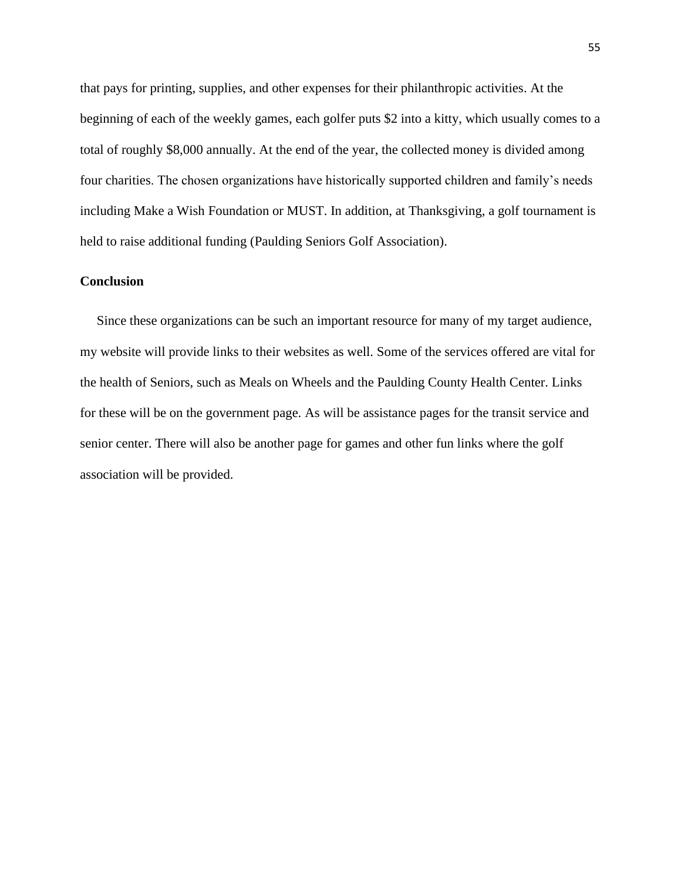that pays for printing, supplies, and other expenses for their philanthropic activities. At the beginning of each of the weekly games, each golfer puts \$2 into a kitty, which usually comes to a total of roughly \$8,000 annually. At the end of the year, the collected money is divided among four charities. The chosen organizations have historically supported children and family's needs including Make a Wish Foundation or MUST. In addition, at Thanksgiving, a golf tournament is held to raise additional funding (Paulding Seniors Golf Association).

## **Conclusion**

 Since these organizations can be such an important resource for many of my target audience, my website will provide links to their websites as well. Some of the services offered are vital for the health of Seniors, such as Meals on Wheels and the Paulding County Health Center. Links for these will be on the government page. As will be assistance pages for the transit service and senior center. There will also be another page for games and other fun links where the golf association will be provided.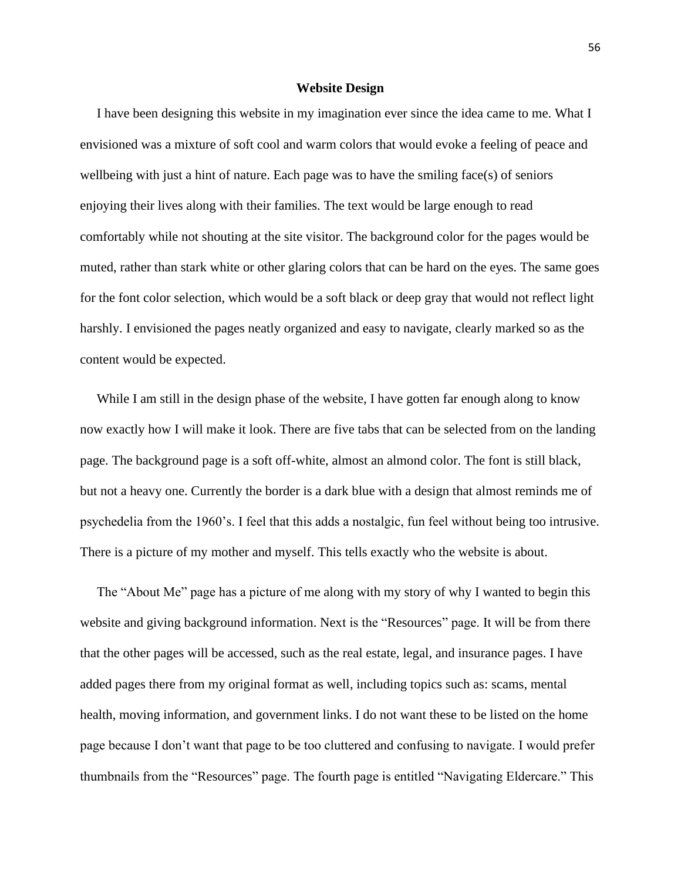#### **Website Design**

 I have been designing this website in my imagination ever since the idea came to me. What I envisioned was a mixture of soft cool and warm colors that would evoke a feeling of peace and wellbeing with just a hint of nature. Each page was to have the smiling face(s) of seniors enjoying their lives along with their families. The text would be large enough to read comfortably while not shouting at the site visitor. The background color for the pages would be muted, rather than stark white or other glaring colors that can be hard on the eyes. The same goes for the font color selection, which would be a soft black or deep gray that would not reflect light harshly. I envisioned the pages neatly organized and easy to navigate, clearly marked so as the content would be expected.

While I am still in the design phase of the website. I have gotten far enough along to know now exactly how I will make it look. There are five tabs that can be selected from on the landing page. The background page is a soft off-white, almost an almond color. The font is still black, but not a heavy one. Currently the border is a dark blue with a design that almost reminds me of psychedelia from the 1960's. I feel that this adds a nostalgic, fun feel without being too intrusive. There is a picture of my mother and myself. This tells exactly who the website is about.

 The "About Me" page has a picture of me along with my story of why I wanted to begin this website and giving background information. Next is the "Resources" page. It will be from there that the other pages will be accessed, such as the real estate, legal, and insurance pages. I have added pages there from my original format as well, including topics such as: scams, mental health, moving information, and government links. I do not want these to be listed on the home page because I don't want that page to be too cluttered and confusing to navigate. I would prefer thumbnails from the "Resources" page. The fourth page is entitled "Navigating Eldercare." This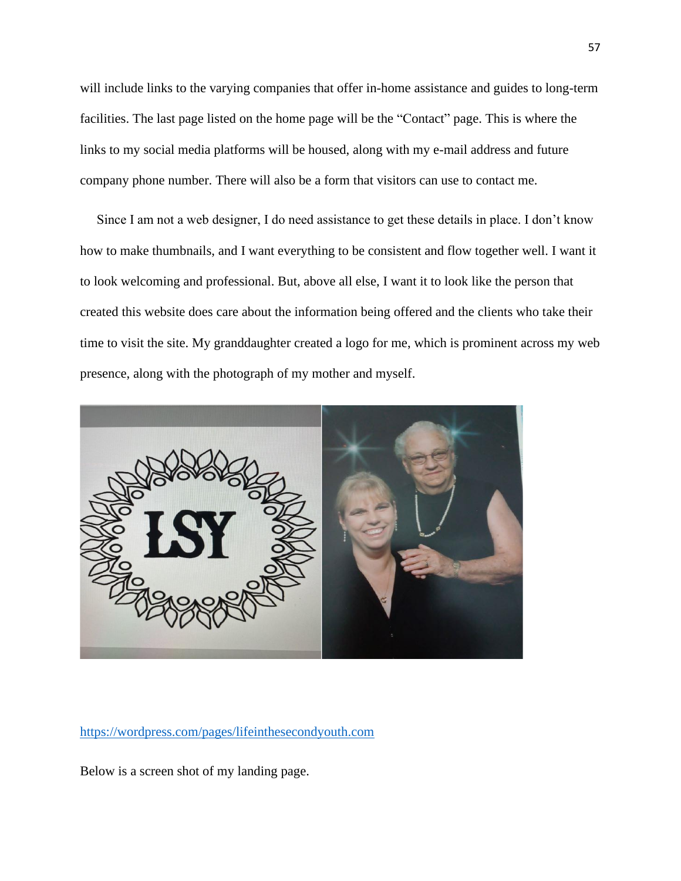will include links to the varying companies that offer in-home assistance and guides to long-term facilities. The last page listed on the home page will be the "Contact" page. This is where the links to my social media platforms will be housed, along with my e-mail address and future company phone number. There will also be a form that visitors can use to contact me.

 Since I am not a web designer, I do need assistance to get these details in place. I don't know how to make thumbnails, and I want everything to be consistent and flow together well. I want it to look welcoming and professional. But, above all else, I want it to look like the person that created this website does care about the information being offered and the clients who take their time to visit the site. My granddaughter created a logo for me, which is prominent across my web presence, along with the photograph of my mother and myself.



<https://wordpress.com/pages/lifeinthesecondyouth.com>

Below is a screen shot of my landing page.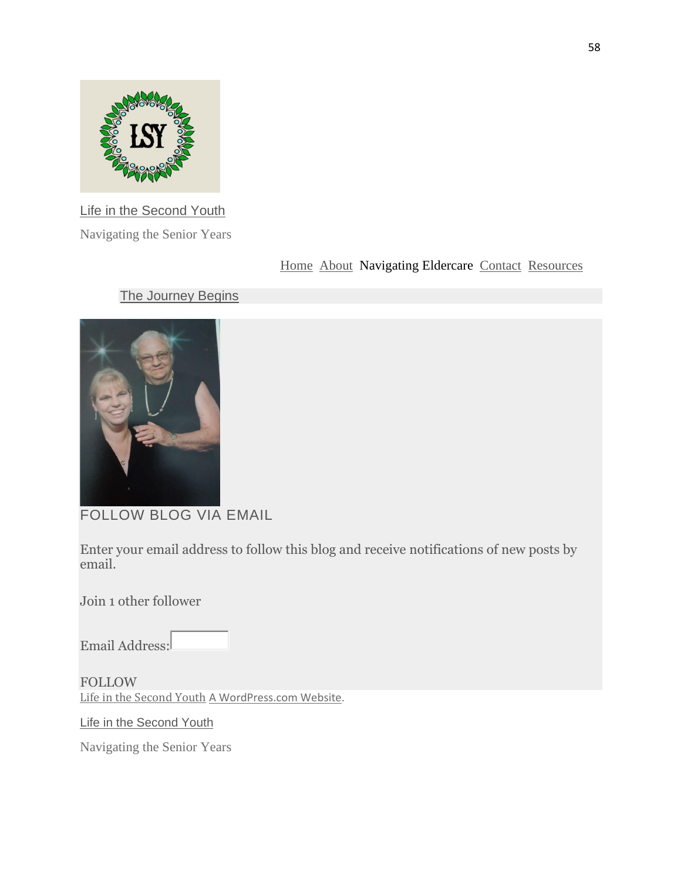

[Life in the Second Youth](https://lifeinthesecondyouth.wordpress.com/)

Navigating the Senior Years

[Home](https://lifeinthesecondyouth.wordpress.com/) [About](https://lifeinthesecondyouth.com/about/) Navigating Eldercare [Contact](https://lifeinthesecondyouth.com/contact-2/) [Resources](https://lifeinthesecondyouth.com/menu/)

# **[The Journey Begins](https://lifeinthesecondyouth.wordpress.com/2021/03/30/the-journey-begins/)**



FOLLOW BLOG VIA EMAIL

Enter your email address to follow this blog and receive notifications of new posts by email.

Join 1 other follower

Email Address:

FOLLOW [Life in the Second Youth](https://lifeinthesecondyouth.wordpress.com/) [A WordPress.com Website.](https://wordpress.com/?ref=footer_custom_acom)

[Life in the Second Youth](https://lifeinthesecondyouth.com/)

Navigating the Senior Years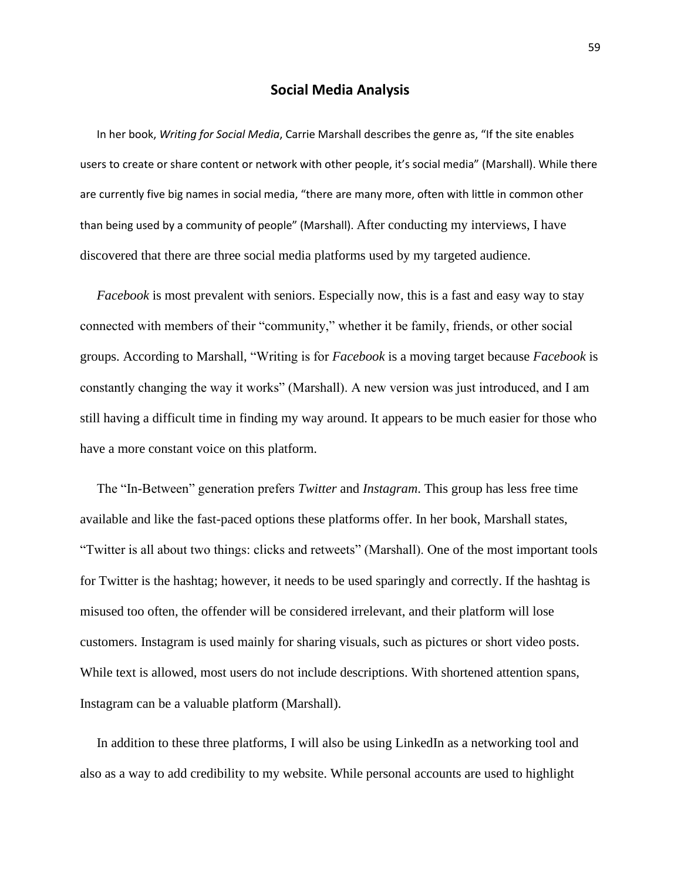## **Social Media Analysis**

 In her book, *Writing for Social Media*, Carrie Marshall describes the genre as, "If the site enables users to create or share content or network with other people, it's social media" (Marshall). While there are currently five big names in social media, "there are many more, often with little in common other than being used by a community of people" (Marshall). After conducting my interviews, I have discovered that there are three social media platforms used by my targeted audience.

 *Facebook* is most prevalent with seniors. Especially now, this is a fast and easy way to stay connected with members of their "community," whether it be family, friends, or other social groups. According to Marshall, "Writing is for *Facebook* is a moving target because *Facebook* is constantly changing the way it works" (Marshall). A new version was just introduced, and I am still having a difficult time in finding my way around. It appears to be much easier for those who have a more constant voice on this platform.

 The "In-Between" generation prefers *Twitter* and *Instagram*. This group has less free time available and like the fast-paced options these platforms offer. In her book, Marshall states, "Twitter is all about two things: clicks and retweets" (Marshall). One of the most important tools for Twitter is the hashtag; however, it needs to be used sparingly and correctly. If the hashtag is misused too often, the offender will be considered irrelevant, and their platform will lose customers. Instagram is used mainly for sharing visuals, such as pictures or short video posts. While text is allowed, most users do not include descriptions. With shortened attention spans, Instagram can be a valuable platform (Marshall).

 In addition to these three platforms, I will also be using LinkedIn as a networking tool and also as a way to add credibility to my website. While personal accounts are used to highlight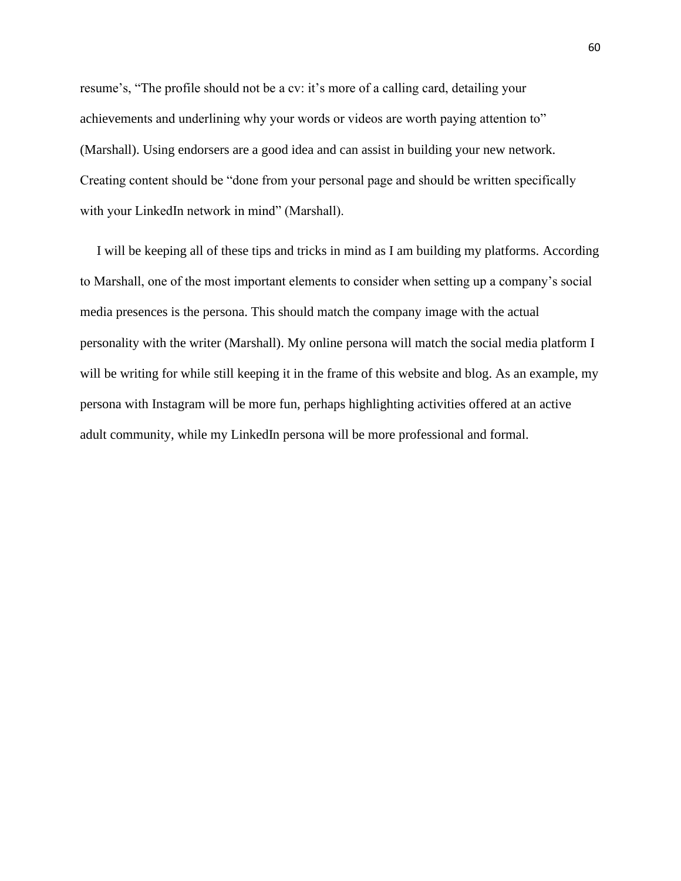resume's, "The profile should not be a cv: it's more of a calling card, detailing your achievements and underlining why your words or videos are worth paying attention to" (Marshall). Using endorsers are a good idea and can assist in building your new network. Creating content should be "done from your personal page and should be written specifically with your LinkedIn network in mind" (Marshall).

 I will be keeping all of these tips and tricks in mind as I am building my platforms. According to Marshall, one of the most important elements to consider when setting up a company's social media presences is the persona. This should match the company image with the actual personality with the writer (Marshall). My online persona will match the social media platform I will be writing for while still keeping it in the frame of this website and blog. As an example, my persona with Instagram will be more fun, perhaps highlighting activities offered at an active adult community, while my LinkedIn persona will be more professional and formal.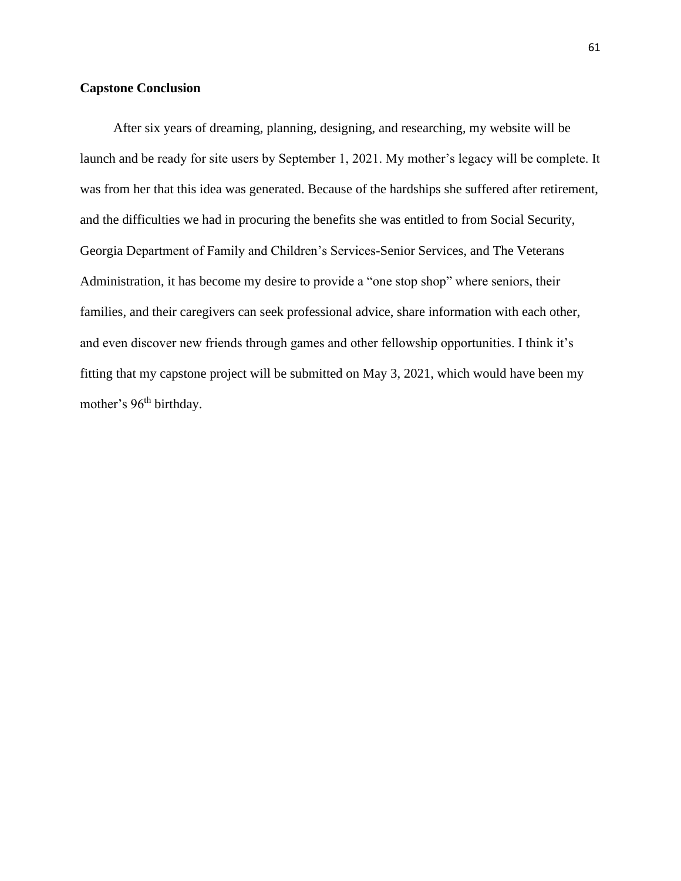## **Capstone Conclusion**

 After six years of dreaming, planning, designing, and researching, my website will be launch and be ready for site users by September 1, 2021. My mother's legacy will be complete. It was from her that this idea was generated. Because of the hardships she suffered after retirement, and the difficulties we had in procuring the benefits she was entitled to from Social Security, Georgia Department of Family and Children's Services-Senior Services, and The Veterans Administration, it has become my desire to provide a "one stop shop" where seniors, their families, and their caregivers can seek professional advice, share information with each other, and even discover new friends through games and other fellowship opportunities. I think it's fitting that my capstone project will be submitted on May 3, 2021, which would have been my mother's 96<sup>th</sup> birthday.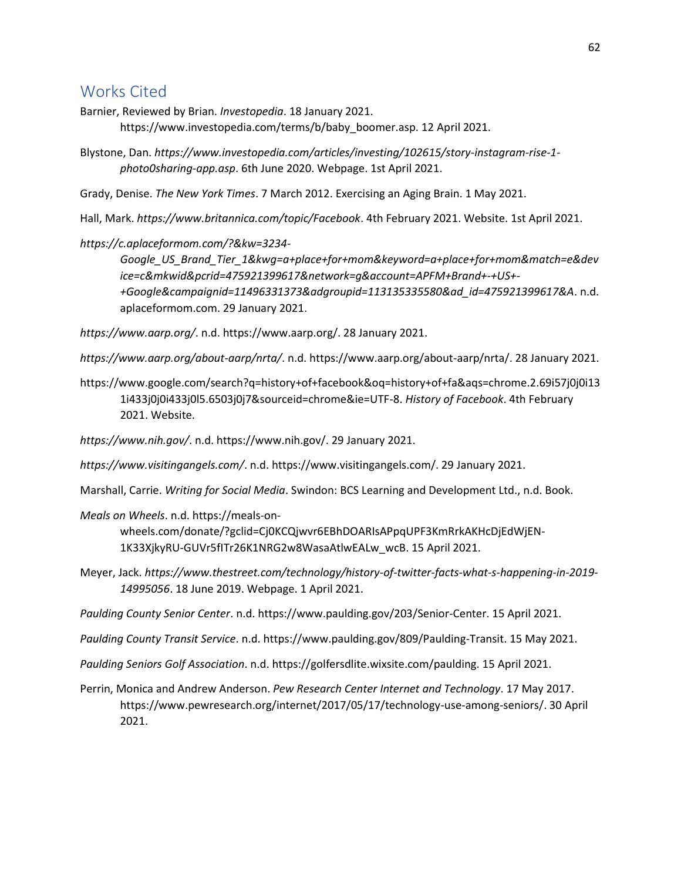# Works Cited

Barnier, Reviewed by Brian. *Investopedia*. 18 January 2021.

https://www.investopedia.com/terms/b/baby\_boomer.asp. 12 April 2021.

Blystone, Dan. *https://www.investopedia.com/articles/investing/102615/story-instagram-rise-1 photo0sharing-app.asp*. 6th June 2020. Webpage. 1st April 2021.

Grady, Denise. *The New York Times*. 7 March 2012. Exercising an Aging Brain. 1 May 2021.

Hall, Mark. *https://www.britannica.com/topic/Facebook*. 4th February 2021. Website. 1st April 2021.

*https://c.aplaceformom.com/?&kw=3234-*

*Google\_US\_Brand\_Tier\_1&kwg=a+place+for+mom&keyword=a+place+for+mom&match=e&dev ice=c&mkwid&pcrid=475921399617&network=g&account=APFM+Brand+-+US+- +Google&campaignid=11496331373&adgroupid=113135335580&ad\_id=475921399617&A*. n.d. aplaceformom.com. 29 January 2021.

*https://www.aarp.org/*. n.d. https://www.aarp.org/. 28 January 2021.

*https://www.aarp.org/about-aarp/nrta/*. n.d. https://www.aarp.org/about-aarp/nrta/. 28 January 2021.

https://www.google.com/search?q=history+of+facebook&oq=history+of+fa&aqs=chrome.2.69i57j0j0i13 1i433j0j0i433j0l5.6503j0j7&sourceid=chrome&ie=UTF-8. *History of Facebook*. 4th February 2021. Website.

*https://www.nih.gov/*. n.d. https://www.nih.gov/. 29 January 2021.

*https://www.visitingangels.com/*. n.d. https://www.visitingangels.com/. 29 January 2021.

Marshall, Carrie. *Writing for Social Media*. Swindon: BCS Learning and Development Ltd., n.d. Book.

*Meals on Wheels*. n.d. https://meals-on-

wheels.com/donate/?gclid=Cj0KCQjwvr6EBhDOARIsAPpqUPF3KmRrkAKHcDjEdWjEN-1K33XjkyRU-GUVr5fITr26K1NRG2w8WasaAtlwEALw\_wcB. 15 April 2021.

Meyer, Jack. *https://www.thestreet.com/technology/history-of-twitter-facts-what-s-happening-in-2019- 14995056*. 18 June 2019. Webpage. 1 April 2021.

*Paulding County Senior Center*. n.d. https://www.paulding.gov/203/Senior-Center. 15 April 2021.

*Paulding County Transit Service*. n.d. https://www.paulding.gov/809/Paulding-Transit. 15 May 2021.

*Paulding Seniors Golf Association*. n.d. https://golfersdlite.wixsite.com/paulding. 15 April 2021.

Perrin, Monica and Andrew Anderson. *Pew Research Center Internet and Technology*. 17 May 2017. https://www.pewresearch.org/internet/2017/05/17/technology-use-among-seniors/. 30 April 2021.